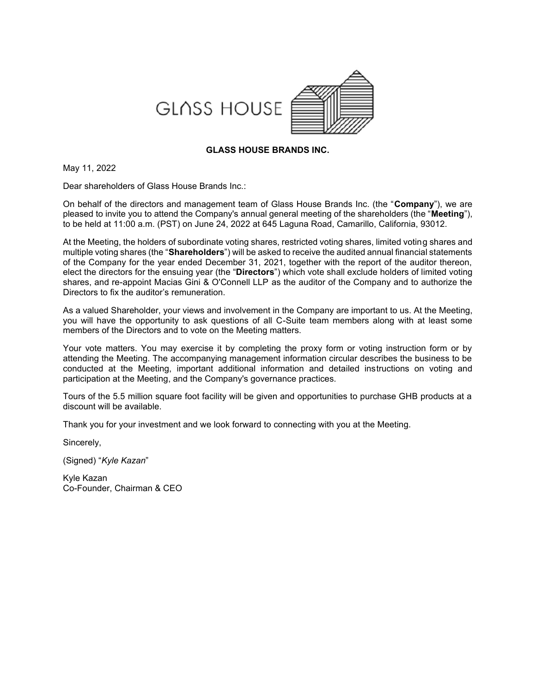



### **GLASS HOUSE BRANDS INC.**

May 11, 2022

Dear shareholders of Glass House Brands Inc.:

On behalf of the directors and management team of Glass House Brands Inc. (the "**Company**"), we are pleased to invite you to attend the Company's annual general meeting of the shareholders (the "**Meeting**"), to be held at 11:00 a.m. (PST) on June 24, 2022 at 645 Laguna Road, Camarillo, California, 93012.

At the Meeting, the holders of subordinate voting shares, restricted voting shares, limited voting shares and multiple voting shares (the "**Shareholders**") will be asked to receive the audited annual financial statements of the Company for the year ended December 31, 2021, together with the report of the auditor thereon, elect the directors for the ensuing year (the "**Directors**") which vote shall exclude holders of limited voting shares, and re-appoint Macias Gini & O'Connell LLP as the auditor of the Company and to authorize the Directors to fix the auditor's remuneration.

As a valued Shareholder, your views and involvement in the Company are important to us. At the Meeting, you will have the opportunity to ask questions of all C-Suite team members along with at least some members of the Directors and to vote on the Meeting matters.

Your vote matters. You may exercise it by completing the proxy form or voting instruction form or by attending the Meeting. The accompanying management information circular describes the business to be conducted at the Meeting, important additional information and detailed instructions on voting and participation at the Meeting, and the Company's governance practices.

Tours of the 5.5 million square foot facility will be given and opportunities to purchase GHB products at a discount will be available.

Thank you for your investment and we look forward to connecting with you at the Meeting.

Sincerely,

(Signed) "*Kyle Kazan*"

Kyle Kazan Co-Founder, Chairman & CEO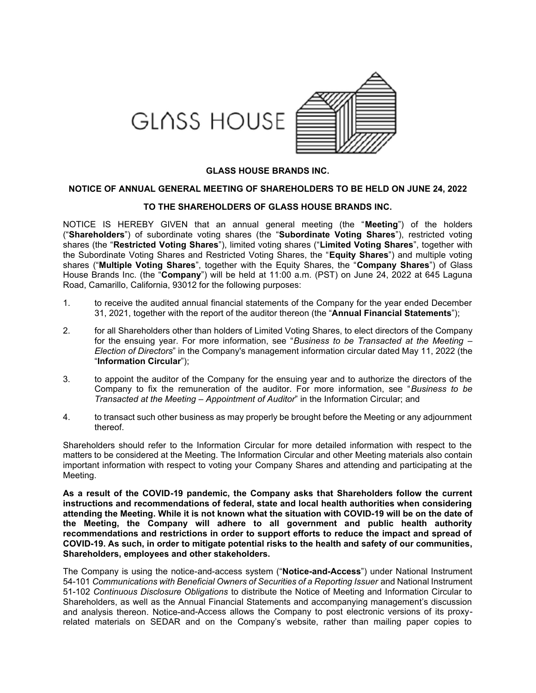

### **GLASS HOUSE BRANDS INC.**

### **NOTICE OF ANNUAL GENERAL MEETING OF SHAREHOLDERS TO BE HELD ON JUNE 24, 2022**

#### **TO THE SHAREHOLDERS OF GLASS HOUSE BRANDS INC.**

NOTICE IS HEREBY GIVEN that an annual general meeting (the "**Meeting**") of the holders ("**Shareholders**") of subordinate voting shares (the "**Subordinate Voting Shares**"), restricted voting shares (the "**Restricted Voting Shares**"), limited voting shares ("**Limited Voting Shares**", together with the Subordinate Voting Shares and Restricted Voting Shares, the "**Equity Shares**") and multiple voting shares ("**Multiple Voting Shares**", together with the Equity Shares, the "**Company Shares**") of Glass House Brands Inc. (the "**Company**") will be held at 11:00 a.m. (PST) on June 24, 2022 at 645 Laguna Road, Camarillo, California, 93012 for the following purposes:

- 1. to receive the audited annual financial statements of the Company for the year ended December 31, 2021, together with the report of the auditor thereon (the "**Annual Financial Statements**");
- 2. for all Shareholders other than holders of Limited Voting Shares, to elect directors of the Company for the ensuing year. For more information, see "*Business to be Transacted at the Meeting – Election of Directors*" in the Company's management information circular dated May 11, 2022 (the "**Information Circular**");
- 3. to appoint the auditor of the Company for the ensuing year and to authorize the directors of the Company to fix the remuneration of the auditor. For more information, see "*Business to be Transacted at the Meeting – Appointment of Auditor*" in the Information Circular; and
- 4. to transact such other business as may properly be brought before the Meeting or any adjournment thereof.

Shareholders should refer to the Information Circular for more detailed information with respect to the matters to be considered at the Meeting. The Information Circular and other Meeting materials also contain important information with respect to voting your Company Shares and attending and participating at the Meeting.

**As a result of the COVID-19 pandemic, the Company asks that Shareholders follow the current instructions and recommendations of federal, state and local health authorities when considering attending the Meeting. While it is not known what the situation with COVID-19 will be on the date of the Meeting, the Company will adhere to all government and public health authority recommendations and restrictions in order to support efforts to reduce the impact and spread of COVID-19. As such, in order to mitigate potential risks to the health and safety of our communities, Shareholders, employees and other stakeholders.**

The Company is using the notice-and-access system ("**Notice-and-Access**") under National Instrument 54-101 *Communications with Beneficial Owners of Securities of a Reporting Issuer* and National Instrument 51-102 *Continuous Disclosure Obligations* to distribute the Notice of Meeting and Information Circular to Shareholders, as well as the Annual Financial Statements and accompanying management's discussion and analysis thereon. Notice-and-Access allows the Company to post electronic versions of its proxyrelated materials on SEDAR and on the Company's website, rather than mailing paper copies to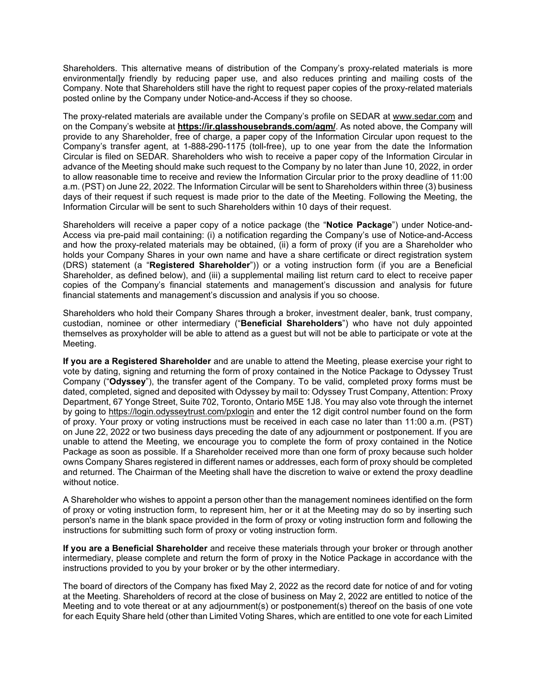Shareholders. This alternative means of distribution of the Company's proxy-related materials is more environmental]y friendly by reducing paper use, and also reduces printing and mailing costs of the Company. Note that Shareholders still have the right to request paper copies of the proxy-related materials posted online by the Company under Notice-and-Access if they so choose.

The proxy-related materials are available under the Company's profile on SEDAR at www.sedar.com and on the Company's website at **https://ir.glasshousebrands.com/agm/**. As noted above, the Company will provide to any Shareholder, free of charge, a paper copy of the Information Circular upon request to the Company's transfer agent, at 1-888-290-1175 (toll-free), up to one year from the date the Information Circular is filed on SEDAR. Shareholders who wish to receive a paper copy of the Information Circular in advance of the Meeting should make such request to the Company by no later than June 10, 2022, in order to allow reasonable time to receive and review the Information Circular prior to the proxy deadline of 11:00 a.m. (PST) on June 22, 2022. The Information Circular will be sent to Shareholders within three (3) business days of their request if such request is made prior to the date of the Meeting. Following the Meeting, the Information Circular will be sent to such Shareholders within 10 days of their request.

Shareholders will receive a paper copy of a notice package (the "**Notice Package**") under Notice-and-Access via pre-paid mail containing: (i) a notification regarding the Company's use of Notice-and-Access and how the proxy-related materials may be obtained, (ii) a form of proxy (if you are a Shareholder who holds your Company Shares in your own name and have a share certificate or direct registration system (DRS) statement (a "**Registered Shareholder**")) or a voting instruction form (if you are a Beneficial Shareholder, as defined below), and (iii) a supplemental mailing list return card to elect to receive paper copies of the Company's financial statements and management's discussion and analysis for future financial statements and management's discussion and analysis if you so choose.

Shareholders who hold their Company Shares through a broker, investment dealer, bank, trust company, custodian, nominee or other intermediary ("**Beneficial Shareholders**") who have not duly appointed themselves as proxyholder will be able to attend as a guest but will not be able to participate or vote at the Meeting.

**If you are a Registered Shareholder** and are unable to attend the Meeting, please exercise your right to vote by dating, signing and returning the form of proxy contained in the Notice Package to Odyssey Trust Company ("**Odyssey**"), the transfer agent of the Company. To be valid, completed proxy forms must be dated, completed, signed and deposited with Odyssey by mail to: Odyssey Trust Company, Attention: Proxy Department, 67 Yonge Street, Suite 702, Toronto, Ontario M5E 1J8. You may also vote through the internet by going to https://login.odysseytrust.com/pxlogin and enter the 12 digit control number found on the form of proxy. Your proxy or voting instructions must be received in each case no later than 11:00 a.m. (PST) on June 22, 2022 or two business days preceding the date of any adjournment or postponement. If you are unable to attend the Meeting, we encourage you to complete the form of proxy contained in the Notice Package as soon as possible. If a Shareholder received more than one form of proxy because such holder owns Company Shares registered in different names or addresses, each form of proxy should be completed and returned. The Chairman of the Meeting shall have the discretion to waive or extend the proxy deadline without notice.

A Shareholder who wishes to appoint a person other than the management nominees identified on the form of proxy or voting instruction form, to represent him, her or it at the Meeting may do so by inserting such person's name in the blank space provided in the form of proxy or voting instruction form and following the instructions for submitting such form of proxy or voting instruction form.

**If you are a Beneficial Shareholder** and receive these materials through your broker or through another intermediary, please complete and return the form of proxy in the Notice Package in accordance with the instructions provided to you by your broker or by the other intermediary.

The board of directors of the Company has fixed May 2, 2022 as the record date for notice of and for voting at the Meeting. Shareholders of record at the close of business on May 2, 2022 are entitled to notice of the Meeting and to vote thereat or at any adjournment(s) or postponement(s) thereof on the basis of one vote for each Equity Share held (other than Limited Voting Shares, which are entitled to one vote for each Limited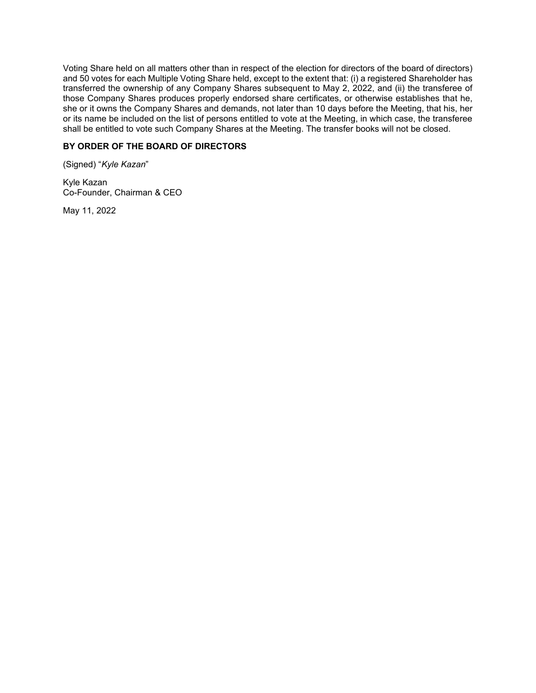Voting Share held on all matters other than in respect of the election for directors of the board of directors) and 50 votes for each Multiple Voting Share held, except to the extent that: (i) a registered Shareholder has transferred the ownership of any Company Shares subsequent to May 2, 2022, and (ii) the transferee of those Company Shares produces properly endorsed share certificates, or otherwise establishes that he, she or it owns the Company Shares and demands, not later than 10 days before the Meeting, that his, her or its name be included on the list of persons entitled to vote at the Meeting, in which case, the transferee shall be entitled to vote such Company Shares at the Meeting. The transfer books will not be closed.

# **BY ORDER OF THE BOARD OF DIRECTORS**

(Signed) "*Kyle Kazan*"

Kyle Kazan Co-Founder, Chairman & CEO

May 11, 2022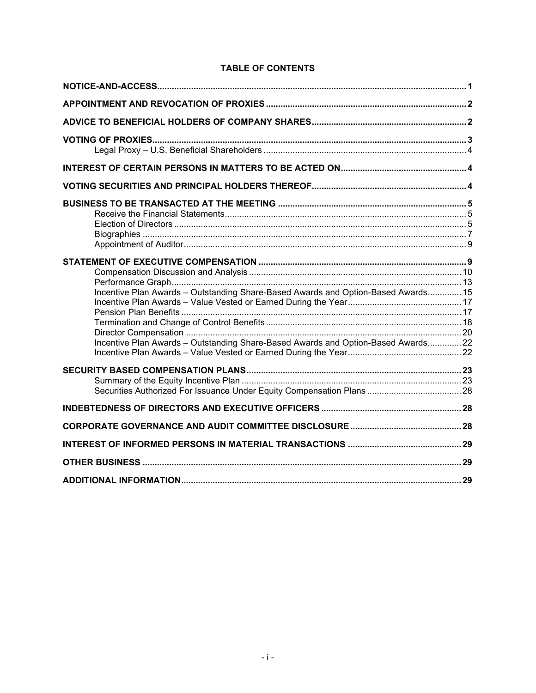# **TABLE OF CONTENTS**

| Incentive Plan Awards - Outstanding Share-Based Awards and Option-Based Awards 15 |  |
|-----------------------------------------------------------------------------------|--|
|                                                                                   |  |
|                                                                                   |  |
|                                                                                   |  |
| Incentive Plan Awards - Outstanding Share-Based Awards and Option-Based Awards22  |  |
|                                                                                   |  |
|                                                                                   |  |
|                                                                                   |  |
|                                                                                   |  |
|                                                                                   |  |
|                                                                                   |  |
|                                                                                   |  |
|                                                                                   |  |
|                                                                                   |  |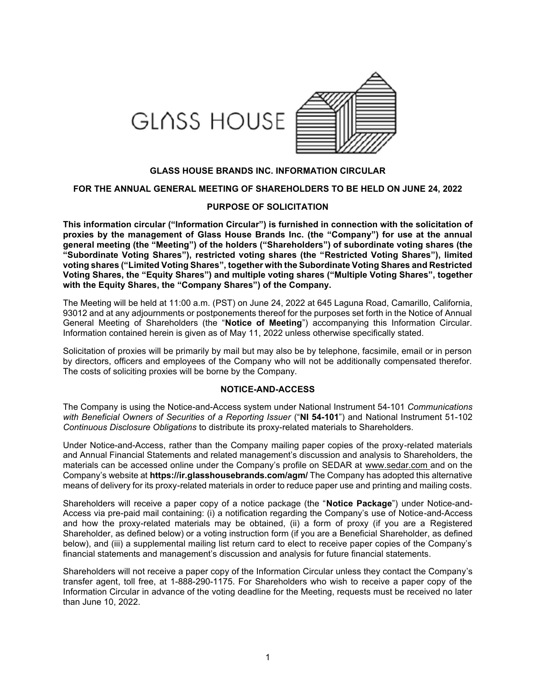

#### **GLASS HOUSE BRANDS INC. INFORMATION CIRCULAR**

#### **FOR THE ANNUAL GENERAL MEETING OF SHAREHOLDERS TO BE HELD ON JUNE 24, 2022**

#### **PURPOSE OF SOLICITATION**

**This information circular ("Information Circular") is furnished in connection with the solicitation of proxies by the management of Glass House Brands Inc. (the "Company") for use at the annual general meeting (the "Meeting") of the holders ("Shareholders") of subordinate voting shares (the "Subordinate Voting Shares"), restricted voting shares (the "Restricted Voting Shares"), limited voting shares ("Limited Voting Shares", together with the Subordinate Voting Shares and Restricted Voting Shares, the "Equity Shares") and multiple voting shares ("Multiple Voting Shares", together with the Equity Shares, the "Company Shares") of the Company.**

The Meeting will be held at 11:00 a.m. (PST) on June 24, 2022 at 645 Laguna Road, Camarillo, California, 93012 and at any adjournments or postponements thereof for the purposes set forth in the Notice of Annual General Meeting of Shareholders (the "**Notice of Meeting**") accompanying this Information Circular. Information contained herein is given as of May 11, 2022 unless otherwise specifically stated.

Solicitation of proxies will be primarily by mail but may also be by telephone, facsimile, email or in person by directors, officers and employees of the Company who will not be additionally compensated therefor. The costs of soliciting proxies will be borne by the Company.

#### **NOTICE-AND-ACCESS**

The Company is using the Notice-and-Access system under National Instrument 54-101 *Communications with Beneficial Owners of Securities of a Reporting Issuer* ("**NI 54-101**") and National Instrument 51-102 *Continuous Disclosure Obligations* to distribute its proxy-related materials to Shareholders.

Under Notice-and-Access, rather than the Company mailing paper copies of the proxy-related materials and Annual Financial Statements and related management's discussion and analysis to Shareholders, the materials can be accessed online under the Company's profile on SEDAR at www.sedar.com and on the Company's website at **https://ir.glasshousebrands.com/agm/** The Company has adopted this alternative means of delivery for its proxy-related materials in order to reduce paper use and printing and mailing costs.

Shareholders will receive a paper copy of a notice package (the "**Notice Package**") under Notice-and-Access via pre-paid mail containing: (i) a notification regarding the Company's use of Notice-and-Access and how the proxy-related materials may be obtained, (ii) a form of proxy (if you are a Registered Shareholder, as defined below) or a voting instruction form (if you are a Beneficial Shareholder, as defined below), and (iii) a supplemental mailing list return card to elect to receive paper copies of the Company's financial statements and management's discussion and analysis for future financial statements.

Shareholders will not receive a paper copy of the Information Circular unless they contact the Company's transfer agent, toll free, at 1-888-290-1175. For Shareholders who wish to receive a paper copy of the Information Circular in advance of the voting deadline for the Meeting, requests must be received no later than June 10, 2022.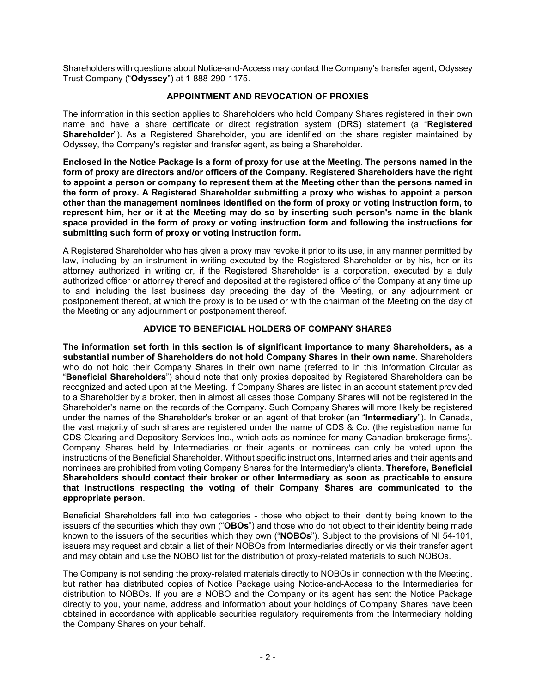Shareholders with questions about Notice-and-Access may contact the Company's transfer agent, Odyssey Trust Company ("**Odyssey**") at 1-888-290-1175.

## **APPOINTMENT AND REVOCATION OF PROXIES**

The information in this section applies to Shareholders who hold Company Shares registered in their own name and have a share certificate or direct registration system (DRS) statement (a "**Registered Shareholder**"). As a Registered Shareholder, you are identified on the share register maintained by Odyssey, the Company's register and transfer agent, as being a Shareholder.

**Enclosed in the Notice Package is a form of proxy for use at the Meeting. The persons named in the form of proxy are directors and/or officers of the Company. Registered Shareholders have the right to appoint a person or company to represent them at the Meeting other than the persons named in the form of proxy. A Registered Shareholder submitting a proxy who wishes to appoint a person other than the management nominees identified on the form of proxy or voting instruction form, to represent him, her or it at the Meeting may do so by inserting such person's name in the blank space provided in the form of proxy or voting instruction form and following the instructions for submitting such form of proxy or voting instruction form.** 

A Registered Shareholder who has given a proxy may revoke it prior to its use, in any manner permitted by law, including by an instrument in writing executed by the Registered Shareholder or by his, her or its attorney authorized in writing or, if the Registered Shareholder is a corporation, executed by a duly authorized officer or attorney thereof and deposited at the registered office of the Company at any time up to and including the last business day preceding the day of the Meeting, or any adjournment or postponement thereof, at which the proxy is to be used or with the chairman of the Meeting on the day of the Meeting or any adjournment or postponement thereof.

## **ADVICE TO BENEFICIAL HOLDERS OF COMPANY SHARES**

**The information set forth in this section is of significant importance to many Shareholders, as a substantial number of Shareholders do not hold Company Shares in their own name**. Shareholders who do not hold their Company Shares in their own name (referred to in this Information Circular as "**Beneficial Shareholders**") should note that only proxies deposited by Registered Shareholders can be recognized and acted upon at the Meeting. If Company Shares are listed in an account statement provided to a Shareholder by a broker, then in almost all cases those Company Shares will not be registered in the Shareholder's name on the records of the Company. Such Company Shares will more likely be registered under the names of the Shareholder's broker or an agent of that broker (an "**Intermediary**"). In Canada, the vast majority of such shares are registered under the name of CDS & Co. (the registration name for CDS Clearing and Depository Services Inc., which acts as nominee for many Canadian brokerage firms). Company Shares held by Intermediaries or their agents or nominees can only be voted upon the instructions of the Beneficial Shareholder. Without specific instructions, Intermediaries and their agents and nominees are prohibited from voting Company Shares for the Intermediary's clients. **Therefore, Beneficial Shareholders should contact their broker or other Intermediary as soon as practicable to ensure that instructions respecting the voting of their Company Shares are communicated to the appropriate person**.

Beneficial Shareholders fall into two categories - those who object to their identity being known to the issuers of the securities which they own ("**OBOs**") and those who do not object to their identity being made known to the issuers of the securities which they own ("**NOBOs**"). Subject to the provisions of NI 54-101, issuers may request and obtain a list of their NOBOs from Intermediaries directly or via their transfer agent and may obtain and use the NOBO list for the distribution of proxy-related materials to such NOBOs.

The Company is not sending the proxy-related materials directly to NOBOs in connection with the Meeting, but rather has distributed copies of Notice Package using Notice-and-Access to the Intermediaries for distribution to NOBOs. If you are a NOBO and the Company or its agent has sent the Notice Package directly to you, your name, address and information about your holdings of Company Shares have been obtained in accordance with applicable securities regulatory requirements from the Intermediary holding the Company Shares on your behalf.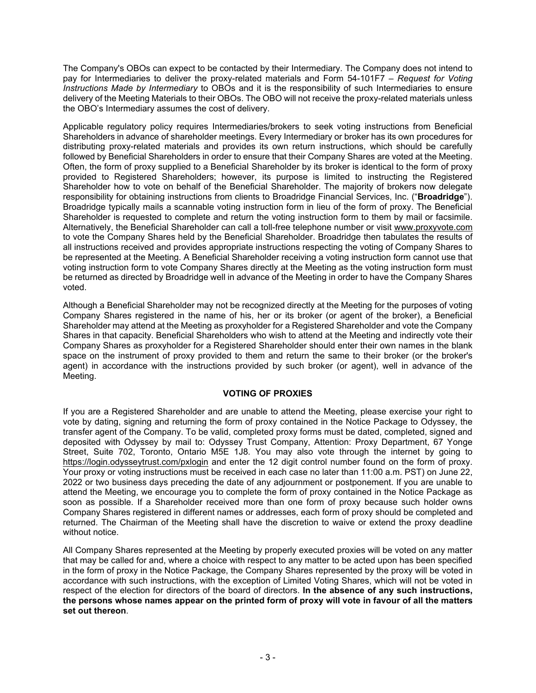The Company's OBOs can expect to be contacted by their Intermediary. The Company does not intend to pay for Intermediaries to deliver the proxy-related materials and Form 54-101F7 – *Request for Voting Instructions Made by Intermediary* to OBOs and it is the responsibility of such Intermediaries to ensure delivery of the Meeting Materials to their OBOs. The OBO will not receive the proxy-related materials unless the OBO's Intermediary assumes the cost of delivery.

Applicable regulatory policy requires Intermediaries/brokers to seek voting instructions from Beneficial Shareholders in advance of shareholder meetings. Every Intermediary or broker has its own procedures for distributing proxy-related materials and provides its own return instructions, which should be carefully followed by Beneficial Shareholders in order to ensure that their Company Shares are voted at the Meeting. Often, the form of proxy supplied to a Beneficial Shareholder by its broker is identical to the form of proxy provided to Registered Shareholders; however, its purpose is limited to instructing the Registered Shareholder how to vote on behalf of the Beneficial Shareholder. The majority of brokers now delegate responsibility for obtaining instructions from clients to Broadridge Financial Services, Inc. ("**Broadridge**"). Broadridge typically mails a scannable voting instruction form in lieu of the form of proxy. The Beneficial Shareholder is requested to complete and return the voting instruction form to them by mail or facsimile. Alternatively, the Beneficial Shareholder can call a toll-free telephone number or visit www.proxyvote.com to vote the Company Shares held by the Beneficial Shareholder. Broadridge then tabulates the results of all instructions received and provides appropriate instructions respecting the voting of Company Shares to be represented at the Meeting. A Beneficial Shareholder receiving a voting instruction form cannot use that voting instruction form to vote Company Shares directly at the Meeting as the voting instruction form must be returned as directed by Broadridge well in advance of the Meeting in order to have the Company Shares voted.

Although a Beneficial Shareholder may not be recognized directly at the Meeting for the purposes of voting Company Shares registered in the name of his, her or its broker (or agent of the broker), a Beneficial Shareholder may attend at the Meeting as proxyholder for a Registered Shareholder and vote the Company Shares in that capacity. Beneficial Shareholders who wish to attend at the Meeting and indirectly vote their Company Shares as proxyholder for a Registered Shareholder should enter their own names in the blank space on the instrument of proxy provided to them and return the same to their broker (or the broker's agent) in accordance with the instructions provided by such broker (or agent), well in advance of the Meeting.

## **VOTING OF PROXIES**

If you are a Registered Shareholder and are unable to attend the Meeting, please exercise your right to vote by dating, signing and returning the form of proxy contained in the Notice Package to Odyssey, the transfer agent of the Company. To be valid, completed proxy forms must be dated, completed, signed and deposited with Odyssey by mail to: Odyssey Trust Company, Attention: Proxy Department, 67 Yonge Street, Suite 702, Toronto, Ontario M5E 1J8. You may also vote through the internet by going to https://login.odysseytrust.com/pxlogin and enter the 12 digit control number found on the form of proxy. Your proxy or voting instructions must be received in each case no later than 11:00 a.m. PST) on June 22, 2022 or two business days preceding the date of any adjournment or postponement. If you are unable to attend the Meeting, we encourage you to complete the form of proxy contained in the Notice Package as soon as possible. If a Shareholder received more than one form of proxy because such holder owns Company Shares registered in different names or addresses, each form of proxy should be completed and returned. The Chairman of the Meeting shall have the discretion to waive or extend the proxy deadline without notice.

All Company Shares represented at the Meeting by properly executed proxies will be voted on any matter that may be called for and, where a choice with respect to any matter to be acted upon has been specified in the form of proxy in the Notice Package, the Company Shares represented by the proxy will be voted in accordance with such instructions, with the exception of Limited Voting Shares, which will not be voted in respect of the election for directors of the board of directors. **In the absence of any such instructions, the persons whose names appear on the printed form of proxy will vote in favour of all the matters set out thereon**.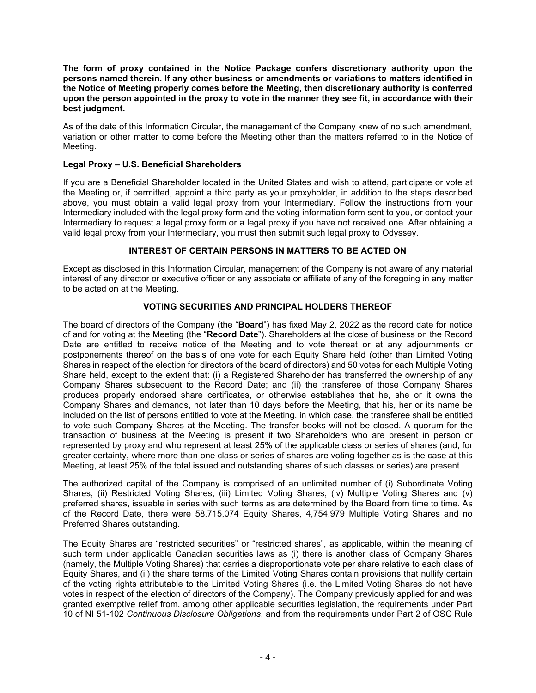**The form of proxy contained in the Notice Package confers discretionary authority upon the persons named therein. If any other business or amendments or variations to matters identified in the Notice of Meeting properly comes before the Meeting, then discretionary authority is conferred upon the person appointed in the proxy to vote in the manner they see fit, in accordance with their best judgment.**

As of the date of this Information Circular, the management of the Company knew of no such amendment, variation or other matter to come before the Meeting other than the matters referred to in the Notice of Meeting.

## **Legal Proxy – U.S. Beneficial Shareholders**

If you are a Beneficial Shareholder located in the United States and wish to attend, participate or vote at the Meeting or, if permitted, appoint a third party as your proxyholder, in addition to the steps described above, you must obtain a valid legal proxy from your Intermediary. Follow the instructions from your Intermediary included with the legal proxy form and the voting information form sent to you, or contact your Intermediary to request a legal proxy form or a legal proxy if you have not received one. After obtaining a valid legal proxy from your Intermediary, you must then submit such legal proxy to Odyssey.

# **INTEREST OF CERTAIN PERSONS IN MATTERS TO BE ACTED ON**

Except as disclosed in this Information Circular, management of the Company is not aware of any material interest of any director or executive officer or any associate or affiliate of any of the foregoing in any matter to be acted on at the Meeting.

## **VOTING SECURITIES AND PRINCIPAL HOLDERS THEREOF**

The board of directors of the Company (the "**Board**") has fixed May 2, 2022 as the record date for notice of and for voting at the Meeting (the "**Record Date**"). Shareholders at the close of business on the Record Date are entitled to receive notice of the Meeting and to vote thereat or at any adjournments or postponements thereof on the basis of one vote for each Equity Share held (other than Limited Voting Shares in respect of the election for directors of the board of directors) and 50 votes for each Multiple Voting Share held, except to the extent that: (i) a Registered Shareholder has transferred the ownership of any Company Shares subsequent to the Record Date; and (ii) the transferee of those Company Shares produces properly endorsed share certificates, or otherwise establishes that he, she or it owns the Company Shares and demands, not later than 10 days before the Meeting, that his, her or its name be included on the list of persons entitled to vote at the Meeting, in which case, the transferee shall be entitled to vote such Company Shares at the Meeting. The transfer books will not be closed. A quorum for the transaction of business at the Meeting is present if two Shareholders who are present in person or represented by proxy and who represent at least 25% of the applicable class or series of shares (and, for greater certainty, where more than one class or series of shares are voting together as is the case at this Meeting, at least 25% of the total issued and outstanding shares of such classes or series) are present.

The authorized capital of the Company is comprised of an unlimited number of (i) Subordinate Voting Shares, (ii) Restricted Voting Shares, (iii) Limited Voting Shares, (iv) Multiple Voting Shares and (v) preferred shares, issuable in series with such terms as are determined by the Board from time to time. As of the Record Date, there were 58,715,074 Equity Shares, 4,754,979 Multiple Voting Shares and no Preferred Shares outstanding.

The Equity Shares are "restricted securities" or "restricted shares", as applicable, within the meaning of such term under applicable Canadian securities laws as (i) there is another class of Company Shares (namely, the Multiple Voting Shares) that carries a disproportionate vote per share relative to each class of Equity Shares, and (ii) the share terms of the Limited Voting Shares contain provisions that nullify certain of the voting rights attributable to the Limited Voting Shares (i.e. the Limited Voting Shares do not have votes in respect of the election of directors of the Company). The Company previously applied for and was granted exemptive relief from, among other applicable securities legislation, the requirements under Part 10 of NI 51-102 *Continuous Disclosure Obligations*, and from the requirements under Part 2 of OSC Rule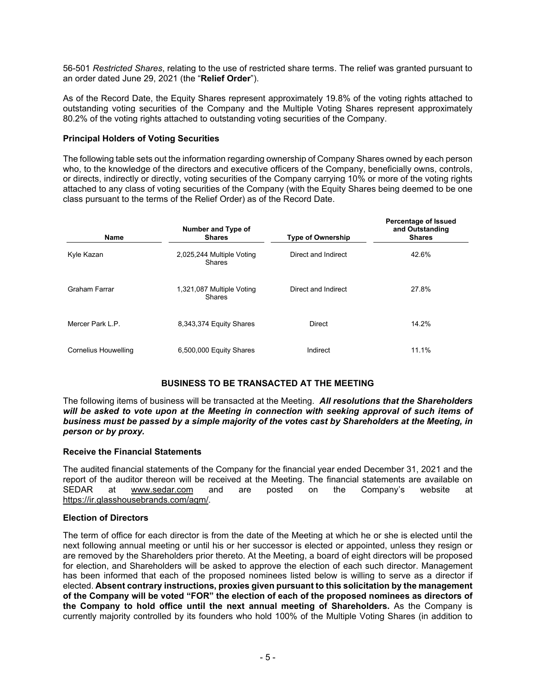56-501 *Restricted Shares*, relating to the use of restricted share terms. The relief was granted pursuant to an order dated June 29, 2021 (the "**Relief Order**").

As of the Record Date, the Equity Shares represent approximately 19.8% of the voting rights attached to outstanding voting securities of the Company and the Multiple Voting Shares represent approximately 80.2% of the voting rights attached to outstanding voting securities of the Company.

## **Principal Holders of Voting Securities**

The following table sets out the information regarding ownership of Company Shares owned by each person who, to the knowledge of the directors and executive officers of the Company, beneficially owns, controls, or directs, indirectly or directly, voting securities of the Company carrying 10% or more of the voting rights attached to any class of voting securities of the Company (with the Equity Shares being deemed to be one class pursuant to the terms of the Relief Order) as of the Record Date.

| <b>Name</b>          | Number and Type of<br><b>Shares</b> | <b>Type of Ownership</b> | <b>Percentage of Issued</b><br>and Outstanding<br><b>Shares</b> |
|----------------------|-------------------------------------|--------------------------|-----------------------------------------------------------------|
| Kyle Kazan           | 2,025,244 Multiple Voting<br>Shares | Direct and Indirect      | 42.6%                                                           |
| Graham Farrar        | 1,321,087 Multiple Voting<br>Shares | Direct and Indirect      | 27.8%                                                           |
| Mercer Park L.P.     | 8,343,374 Equity Shares             | <b>Direct</b>            | 14.2%                                                           |
| Cornelius Houwelling | 6,500,000 Equity Shares             | Indirect                 | 11.1%                                                           |

## **BUSINESS TO BE TRANSACTED AT THE MEETING**

The following items of business will be transacted at the Meeting. *All resolutions that the Shareholders*  will be asked to vote upon at the Meeting in connection with seeking approval of such items of *business must be passed by a simple majority of the votes cast by Shareholders at the Meeting, in person or by proxy.*

## **Receive the Financial Statements**

The audited financial statements of the Company for the financial year ended December 31, 2021 and the report of the auditor thereon will be received at the Meeting. The financial statements are available on SEDAR at www.sedar.com and are posted on the Company's website at https://ir.glasshousebrands.com/agm/.

#### **Election of Directors**

The term of office for each director is from the date of the Meeting at which he or she is elected until the next following annual meeting or until his or her successor is elected or appointed, unless they resign or are removed by the Shareholders prior thereto. At the Meeting, a board of eight directors will be proposed for election, and Shareholders will be asked to approve the election of each such director. Management has been informed that each of the proposed nominees listed below is willing to serve as a director if elected. **Absent contrary instructions, proxies given pursuant to this solicitation by the management of the Company will be voted "FOR" the election of each of the proposed nominees as directors of the Company to hold office until the next annual meeting of Shareholders.** As the Company is currently majority controlled by its founders who hold 100% of the Multiple Voting Shares (in addition to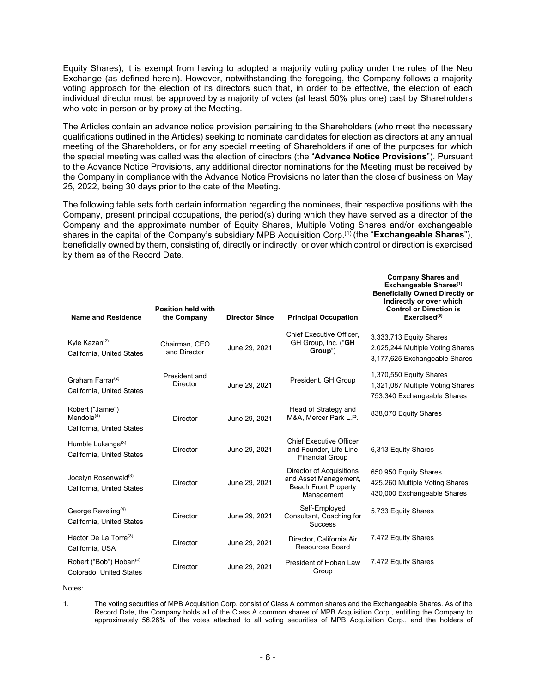Equity Shares), it is exempt from having to adopted a majority voting policy under the rules of the Neo Exchange (as defined herein). However, notwithstanding the foregoing, the Company follows a majority voting approach for the election of its directors such that, in order to be effective, the election of each individual director must be approved by a majority of votes (at least 50% plus one) cast by Shareholders who vote in person or by proxy at the Meeting.

The Articles contain an advance notice provision pertaining to the Shareholders (who meet the necessary qualifications outlined in the Articles) seeking to nominate candidates for election as directors at any annual meeting of the Shareholders, or for any special meeting of Shareholders if one of the purposes for which the special meeting was called was the election of directors (the "**Advance Notice Provisions**"). Pursuant to the Advance Notice Provisions, any additional director nominations for the Meeting must be received by the Company in compliance with the Advance Notice Provisions no later than the close of business on May 25, 2022, being 30 days prior to the date of the Meeting.

The following table sets forth certain information regarding the nominees, their respective positions with the Company, present principal occupations, the period(s) during which they have served as a director of the Company and the approximate number of Equity Shares, Multiple Voting Shares and/or exchangeable shares in the capital of the Company's subsidiary MPB Acquisition Corp.(1) (the "**Exchangeable Shares**"), beneficially owned by them, consisting of, directly or indirectly, or over which control or direction is exercised by them as of the Record Date.

| <b>Name and Residence</b>                                      | <b>Position held with</b><br>the Company | <b>Director Since</b> | <b>Principal Occupation</b>                                                                    | <b>Company Shares and</b><br>Exchangeable Shares <sup>(1)</sup><br><b>Beneficially Owned Directly or</b><br>Indirectly or over which<br><b>Control or Direction is</b><br>$Exercise d^{(5)}$ |
|----------------------------------------------------------------|------------------------------------------|-----------------------|------------------------------------------------------------------------------------------------|----------------------------------------------------------------------------------------------------------------------------------------------------------------------------------------------|
| Kyle Kazan $(2)$<br>California, United States                  | Chairman, CEO<br>and Director            | June 29, 2021         | Chief Executive Officer,<br>GH Group, Inc. ("GH<br>Group")                                     | 3,333,713 Equity Shares<br>2,025,244 Multiple Voting Shares<br>3,177,625 Exchangeable Shares                                                                                                 |
| Graham Farrar <sup>(2)</sup><br>California, United States      | President and<br><b>Director</b>         | June 29, 2021         | President, GH Group                                                                            | 1,370,550 Equity Shares<br>1,321,087 Multiple Voting Shares<br>753,340 Exchangeable Shares                                                                                                   |
| Robert ("Jamie")<br>Mendola $(4)$<br>California, United States | <b>Director</b>                          | June 29, 2021         | Head of Strategy and<br>M&A, Mercer Park L.P.                                                  | 838,070 Equity Shares                                                                                                                                                                        |
| Humble Lukanga(3)<br>California, United States                 | <b>Director</b>                          | June 29, 2021         | <b>Chief Executive Officer</b><br>and Founder, Life Line<br><b>Financial Group</b>             | 6,313 Equity Shares                                                                                                                                                                          |
| Jocelyn Rosenwald <sup>(3)</sup><br>California, United States  | <b>Director</b>                          | June 29, 2021         | Director of Acquisitions<br>and Asset Management,<br><b>Beach Front Property</b><br>Management | 650,950 Equity Shares<br>425,260 Multiple Voting Shares<br>430,000 Exchangeable Shares                                                                                                       |
| George Raveling <sup>(4)</sup><br>California, United States    | <b>Director</b>                          | June 29, 2021         | Self-Employed<br>Consultant, Coaching for<br><b>Success</b>                                    | 5,733 Equity Shares                                                                                                                                                                          |
| Hector De La Torre $(3)$<br>California, USA                    | <b>Director</b>                          | June 29, 2021         | Director, California Air<br>Resources Board                                                    | 7,472 Equity Shares                                                                                                                                                                          |
| Robert ("Bob") Hoban <sup>(4)</sup><br>Colorado, United States | <b>Director</b>                          | June 29, 2021         | President of Hoban Law<br>Group                                                                | 7,472 Equity Shares                                                                                                                                                                          |
|                                                                |                                          |                       |                                                                                                |                                                                                                                                                                                              |

Notes:

1. The voting securities of MPB Acquisition Corp. consist of Class A common shares and the Exchangeable Shares. As of the Record Date, the Company holds all of the Class A common shares of MPB Acquisition Corp., entitling the Company to approximately 56.26% of the votes attached to all voting securities of MPB Acquisition Corp., and the holders of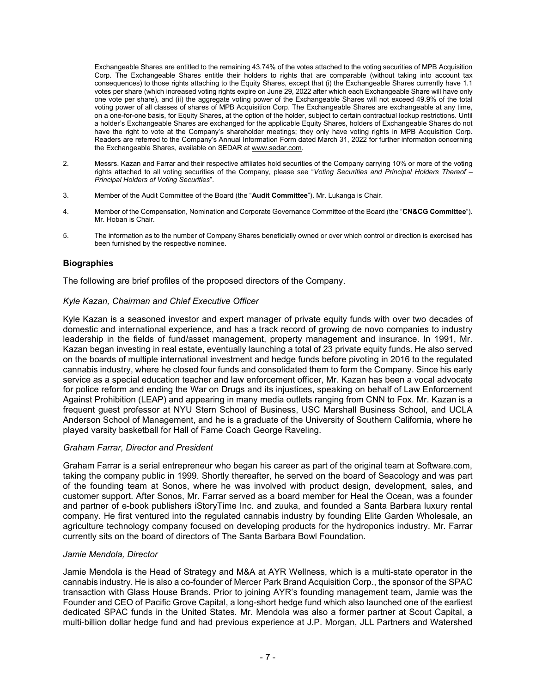Exchangeable Shares are entitled to the remaining 43.74% of the votes attached to the voting securities of MPB Acquisition Corp. The Exchangeable Shares entitle their holders to rights that are comparable (without taking into account tax consequences) to those rights attaching to the Equity Shares, except that (i) the Exchangeable Shares currently have 1.1 votes per share (which increased voting rights expire on June 29, 2022 after which each Exchangeable Share will have only one vote per share), and (ii) the aggregate voting power of the Exchangeable Shares will not exceed 49.9% of the total voting power of all classes of shares of MPB Acquisition Corp. The Exchangeable Shares are exchangeable at any time, on a one-for-one basis, for Equity Shares, at the option of the holder, subject to certain contractual lockup restrictions. Until a holder's Exchangeable Shares are exchanged for the applicable Equity Shares, holders of Exchangeable Shares do not have the right to vote at the Company's shareholder meetings; they only have voting rights in MPB Acquisition Corp. Readers are referred to the Company's Annual Information Form dated March 31, 2022 for further information concerning the Exchangeable Shares, available on SEDAR at www.sedar.com.

- 2. Messrs. Kazan and Farrar and their respective affiliates hold securities of the Company carrying 10% or more of the voting rights attached to all voting securities of the Company, please see "*Voting Securities and Principal Holders Thereof – Principal Holders of Voting Securities*".
- 3. Member of the Audit Committee of the Board (the "**Audit Committee**"). Mr. Lukanga is Chair.
- 4. Member of the Compensation, Nomination and Corporate Governance Committee of the Board (the "**CN&CG Committee**"). Mr. Hoban is Chair.
- 5. The information as to the number of Company Shares beneficially owned or over which control or direction is exercised has been furnished by the respective nominee.

## **Biographies**

The following are brief profiles of the proposed directors of the Company.

#### *Kyle Kazan, Chairman and Chief Executive Officer*

Kyle Kazan is a seasoned investor and expert manager of private equity funds with over two decades of domestic and international experience, and has a track record of growing de novo companies to industry leadership in the fields of fund/asset management, property management and insurance. In 1991, Mr. Kazan began investing in real estate, eventually launching a total of 23 private equity funds. He also served on the boards of multiple international investment and hedge funds before pivoting in 2016 to the regulated cannabis industry, where he closed four funds and consolidated them to form the Company. Since his early service as a special education teacher and law enforcement officer, Mr. Kazan has been a vocal advocate for police reform and ending the War on Drugs and its injustices, speaking on behalf of Law Enforcement Against Prohibition (LEAP) and appearing in many media outlets ranging from CNN to Fox. Mr. Kazan is a frequent guest professor at NYU Stern School of Business, USC Marshall Business School, and UCLA Anderson School of Management, and he is a graduate of the University of Southern California, where he played varsity basketball for Hall of Fame Coach George Raveling.

#### *Graham Farrar, Director and President*

Graham Farrar is a serial entrepreneur who began his career as part of the original team at Software.com, taking the company public in 1999. Shortly thereafter, he served on the board of Seacology and was part of the founding team at Sonos, where he was involved with product design, development, sales, and customer support. After Sonos, Mr. Farrar served as a board member for Heal the Ocean, was a founder and partner of e-book publishers iStoryTime Inc. and zuuka, and founded a Santa Barbara luxury rental company. He first ventured into the regulated cannabis industry by founding Elite Garden Wholesale, an agriculture technology company focused on developing products for the hydroponics industry. Mr. Farrar currently sits on the board of directors of The Santa Barbara Bowl Foundation.

#### *Jamie Mendola, Director*

Jamie Mendola is the Head of Strategy and M&A at AYR Wellness, which is a multi-state operator in the cannabis industry. He is also a co-founder of Mercer Park Brand Acquisition Corp., the sponsor of the SPAC transaction with Glass House Brands. Prior to joining AYR's founding management team, Jamie was the Founder and CEO of Pacific Grove Capital, a long-short hedge fund which also launched one of the earliest dedicated SPAC funds in the United States. Mr. Mendola was also a former partner at Scout Capital, a multi-billion dollar hedge fund and had previous experience at J.P. Morgan, JLL Partners and Watershed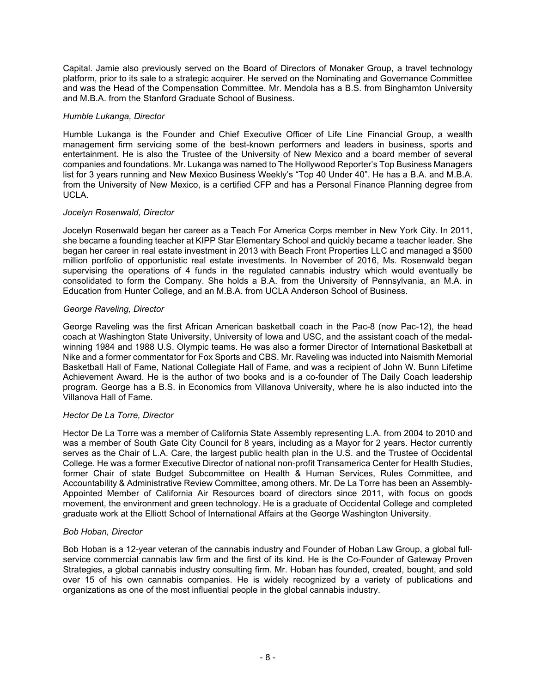Capital. Jamie also previously served on the Board of Directors of Monaker Group, a travel technology platform, prior to its sale to a strategic acquirer. He served on the Nominating and Governance Committee and was the Head of the Compensation Committee. Mr. Mendola has a B.S. from Binghamton University and M.B.A. from the Stanford Graduate School of Business.

## *Humble Lukanga, Director*

Humble Lukanga is the Founder and Chief Executive Officer of Life Line Financial Group, a wealth management firm servicing some of the best-known performers and leaders in business, sports and entertainment. He is also the Trustee of the University of New Mexico and a board member of several companies and foundations. Mr. Lukanga was named to The Hollywood Reporter's Top Business Managers list for 3 years running and New Mexico Business Weekly's "Top 40 Under 40". He has a B.A. and M.B.A. from the University of New Mexico, is a certified CFP and has a Personal Finance Planning degree from UCLA.

## *Jocelyn Rosenwald, Director*

Jocelyn Rosenwald began her career as a Teach For America Corps member in New York City. In 2011, she became a founding teacher at KIPP Star Elementary School and quickly became a teacher leader. She began her career in real estate investment in 2013 with Beach Front Properties LLC and managed a \$500 million portfolio of opportunistic real estate investments. In November of 2016, Ms. Rosenwald began supervising the operations of 4 funds in the regulated cannabis industry which would eventually be consolidated to form the Company. She holds a B.A. from the University of Pennsylvania, an M.A. in Education from Hunter College, and an M.B.A. from UCLA Anderson School of Business.

## *George Raveling, Director*

George Raveling was the first African American basketball coach in the Pac-8 (now Pac-12), the head coach at Washington State University, University of Iowa and USC, and the assistant coach of the medalwinning 1984 and 1988 U.S. Olympic teams. He was also a former Director of International Basketball at Nike and a former commentator for Fox Sports and CBS. Mr. Raveling was inducted into Naismith Memorial Basketball Hall of Fame, National Collegiate Hall of Fame, and was a recipient of John W. Bunn Lifetime Achievement Award. He is the author of two books and is a co-founder of The Daily Coach leadership program. George has a B.S. in Economics from Villanova University, where he is also inducted into the Villanova Hall of Fame.

#### *Hector De La Torre, Director*

Hector De La Torre was a member of California State Assembly representing L.A. from 2004 to 2010 and was a member of South Gate City Council for 8 years, including as a Mayor for 2 years. Hector currently serves as the Chair of L.A. Care, the largest public health plan in the U.S. and the Trustee of Occidental College. He was a former Executive Director of national non-profit Transamerica Center for Health Studies, former Chair of state Budget Subcommittee on Health & Human Services, Rules Committee, and Accountability & Administrative Review Committee, among others. Mr. De La Torre has been an Assembly-Appointed Member of California Air Resources board of directors since 2011, with focus on goods movement, the environment and green technology. He is a graduate of Occidental College and completed graduate work at the Elliott School of International Affairs at the George Washington University.

#### *Bob Hoban, Director*

Bob Hoban is a 12-year veteran of the cannabis industry and Founder of Hoban Law Group, a global fullservice commercial cannabis law firm and the first of its kind. He is the Co-Founder of Gateway Proven Strategies, a global cannabis industry consulting firm. Mr. Hoban has founded, created, bought, and sold over 15 of his own cannabis companies. He is widely recognized by a variety of publications and organizations as one of the most influential people in the global cannabis industry.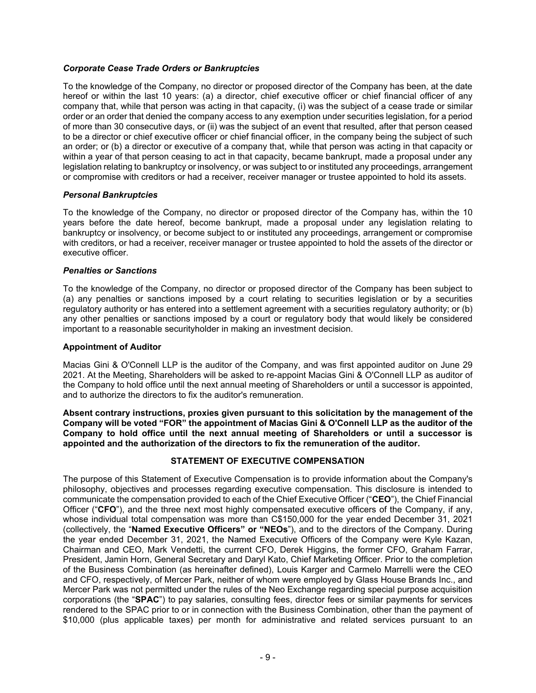## *Corporate Cease Trade Orders or Bankruptcies*

To the knowledge of the Company, no director or proposed director of the Company has been, at the date hereof or within the last 10 years: (a) a director, chief executive officer or chief financial officer of any company that, while that person was acting in that capacity, (i) was the subject of a cease trade or similar order or an order that denied the company access to any exemption under securities legislation, for a period of more than 30 consecutive days, or (ii) was the subject of an event that resulted, after that person ceased to be a director or chief executive officer or chief financial officer, in the company being the subject of such an order; or (b) a director or executive of a company that, while that person was acting in that capacity or within a year of that person ceasing to act in that capacity, became bankrupt, made a proposal under any legislation relating to bankruptcy or insolvency, or was subject to or instituted any proceedings, arrangement or compromise with creditors or had a receiver, receiver manager or trustee appointed to hold its assets.

## *Personal Bankruptcies*

To the knowledge of the Company, no director or proposed director of the Company has, within the 10 years before the date hereof, become bankrupt, made a proposal under any legislation relating to bankruptcy or insolvency, or become subject to or instituted any proceedings, arrangement or compromise with creditors, or had a receiver, receiver manager or trustee appointed to hold the assets of the director or executive officer.

## *Penalties or Sanctions*

To the knowledge of the Company, no director or proposed director of the Company has been subject to (a) any penalties or sanctions imposed by a court relating to securities legislation or by a securities regulatory authority or has entered into a settlement agreement with a securities regulatory authority; or (b) any other penalties or sanctions imposed by a court or regulatory body that would likely be considered important to a reasonable securityholder in making an investment decision.

#### **Appointment of Auditor**

Macias Gini & O'Connell LLP is the auditor of the Company, and was first appointed auditor on June 29 2021. At the Meeting, Shareholders will be asked to re-appoint Macias Gini & O'Connell LLP as auditor of the Company to hold office until the next annual meeting of Shareholders or until a successor is appointed, and to authorize the directors to fix the auditor's remuneration.

**Absent contrary instructions, proxies given pursuant to this solicitation by the management of the Company will be voted "FOR" the appointment of Macias Gini & O'Connell LLP as the auditor of the Company to hold office until the next annual meeting of Shareholders or until a successor is appointed and the authorization of the directors to fix the remuneration of the auditor.**

## **STATEMENT OF EXECUTIVE COMPENSATION**

The purpose of this Statement of Executive Compensation is to provide information about the Company's philosophy, objectives and processes regarding executive compensation. This disclosure is intended to communicate the compensation provided to each of the Chief Executive Officer ("**CEO**"), the Chief Financial Officer ("**CFO**"), and the three next most highly compensated executive officers of the Company, if any, whose individual total compensation was more than C\$150,000 for the year ended December 31, 2021 (collectively, the "**Named Executive Officers" or "NEOs**"), and to the directors of the Company. During the year ended December 31, 2021, the Named Executive Officers of the Company were Kyle Kazan, Chairman and CEO, Mark Vendetti, the current CFO, Derek Higgins, the former CFO, Graham Farrar, President, Jamin Horn, General Secretary and Daryl Kato, Chief Marketing Officer. Prior to the completion of the Business Combination (as hereinafter defined), Louis Karger and Carmelo Marrelli were the CEO and CFO, respectively, of Mercer Park, neither of whom were employed by Glass House Brands Inc., and Mercer Park was not permitted under the rules of the Neo Exchange regarding special purpose acquisition corporations (the "**SPAC**") to pay salaries, consulting fees, director fees or similar payments for services rendered to the SPAC prior to or in connection with the Business Combination, other than the payment of \$10,000 (plus applicable taxes) per month for administrative and related services pursuant to an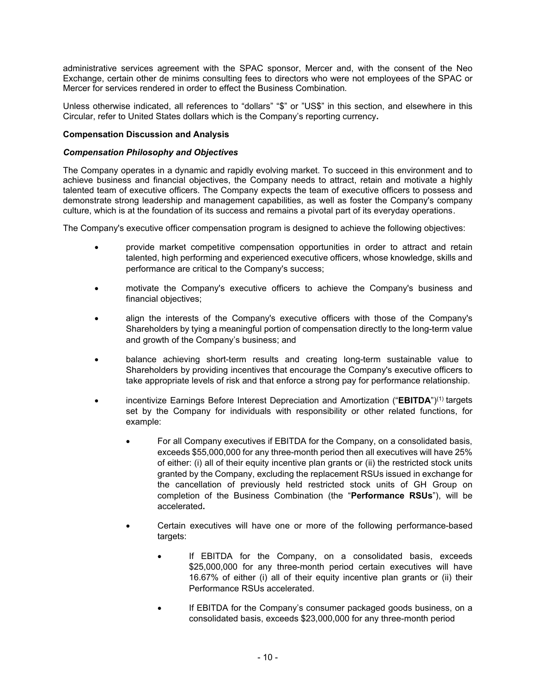administrative services agreement with the SPAC sponsor, Mercer and, with the consent of the Neo Exchange, certain other de minims consulting fees to directors who were not employees of the SPAC or Mercer for services rendered in order to effect the Business Combination.

Unless otherwise indicated, all references to "dollars" "\$" or "US\$" in this section, and elsewhere in this Circular, refer to United States dollars which is the Company's reporting currency**.**

## **Compensation Discussion and Analysis**

### *Compensation Philosophy and Objectives*

The Company operates in a dynamic and rapidly evolving market. To succeed in this environment and to achieve business and financial objectives, the Company needs to attract, retain and motivate a highly talented team of executive officers. The Company expects the team of executive officers to possess and demonstrate strong leadership and management capabilities, as well as foster the Company's company culture, which is at the foundation of its success and remains a pivotal part of its everyday operations.

The Company's executive officer compensation program is designed to achieve the following objectives:

- provide market competitive compensation opportunities in order to attract and retain talented, high performing and experienced executive officers, whose knowledge, skills and performance are critical to the Company's success;
- motivate the Company's executive officers to achieve the Company's business and financial objectives;
- align the interests of the Company's executive officers with those of the Company's Shareholders by tying a meaningful portion of compensation directly to the long-term value and growth of the Company's business; and
- balance achieving short-term results and creating long-term sustainable value to Shareholders by providing incentives that encourage the Company's executive officers to take appropriate levels of risk and that enforce a strong pay for performance relationship.
- incentivize Earnings Before Interest Depreciation and Amortization ("**EBITDA**")(1) targets set by the Company for individuals with responsibility or other related functions, for example:
	- For all Company executives if EBITDA for the Company, on a consolidated basis, exceeds \$55,000,000 for any three-month period then all executives will have 25% of either: (i) all of their equity incentive plan grants or (ii) the restricted stock units granted by the Company, excluding the replacement RSUs issued in exchange for the cancellation of previously held restricted stock units of GH Group on completion of the Business Combination (the "**Performance RSUs**"), will be accelerated**.**
	- Certain executives will have one or more of the following performance-based targets:
		- If EBITDA for the Company, on a consolidated basis, exceeds \$25,000,000 for any three-month period certain executives will have 16.67% of either (i) all of their equity incentive plan grants or (ii) their Performance RSUs accelerated.
		- If EBITDA for the Company's consumer packaged goods business, on a consolidated basis, exceeds \$23,000,000 for any three-month period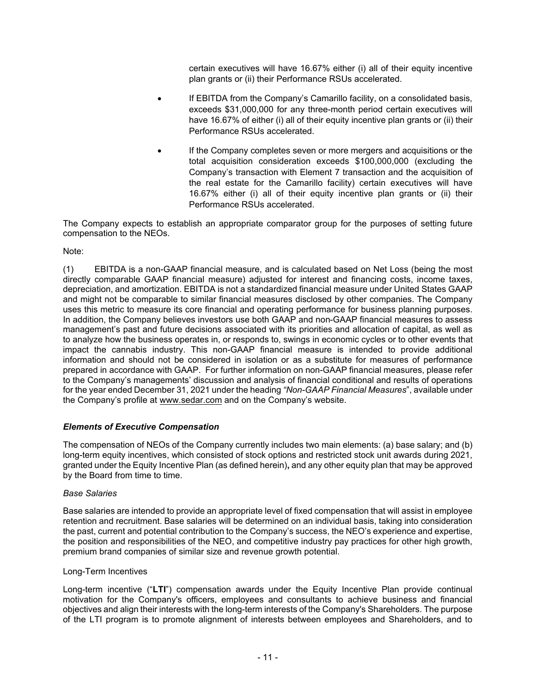certain executives will have 16.67% either (i) all of their equity incentive plan grants or (ii) their Performance RSUs accelerated.

- If EBITDA from the Company's Camarillo facility, on a consolidated basis, exceeds \$31,000,000 for any three-month period certain executives will have 16.67% of either (i) all of their equity incentive plan grants or (ii) their Performance RSUs accelerated.
- If the Company completes seven or more mergers and acquisitions or the total acquisition consideration exceeds \$100,000,000 (excluding the Company's transaction with Element 7 transaction and the acquisition of the real estate for the Camarillo facility) certain executives will have 16.67% either (i) all of their equity incentive plan grants or (ii) their Performance RSUs accelerated.

The Company expects to establish an appropriate comparator group for the purposes of setting future compensation to the NEOs.

## Note:

(1) EBITDA is a non-GAAP financial measure, and is calculated based on Net Loss (being the most directly comparable GAAP financial measure) adjusted for interest and financing costs, income taxes, depreciation, and amortization. EBITDA is not a standardized financial measure under United States GAAP and might not be comparable to similar financial measures disclosed by other companies. The Company uses this metric to measure its core financial and operating performance for business planning purposes. In addition, the Company believes investors use both GAAP and non-GAAP financial measures to assess management's past and future decisions associated with its priorities and allocation of capital, as well as to analyze how the business operates in, or responds to, swings in economic cycles or to other events that impact the cannabis industry. This non-GAAP financial measure is intended to provide additional information and should not be considered in isolation or as a substitute for measures of performance prepared in accordance with GAAP. For further information on non-GAAP financial measures, please refer to the Company's managements' discussion and analysis of financial conditional and results of operations for the year ended December 31, 2021 under the heading *"Non-GAAP Financial Measures*", available under the Company's profile at www.sedar.com and on the Company's website.

## *Elements of Executive Compensation*

The compensation of NEOs of the Company currently includes two main elements: (a) base salary; and (b) long-term equity incentives, which consisted of stock options and restricted stock unit awards during 2021, granted under the Equity Incentive Plan (as defined herein)**,** and any other equity plan that may be approved by the Board from time to time.

#### *Base Salaries*

Base salaries are intended to provide an appropriate level of fixed compensation that will assist in employee retention and recruitment. Base salaries will be determined on an individual basis, taking into consideration the past, current and potential contribution to the Company's success, the NEO's experience and expertise, the position and responsibilities of the NEO, and competitive industry pay practices for other high growth, premium brand companies of similar size and revenue growth potential.

#### Long-Term Incentives

Long-term incentive ("**LTI**") compensation awards under the Equity Incentive Plan provide continual motivation for the Company's officers, employees and consultants to achieve business and financial objectives and align their interests with the long-term interests of the Company's Shareholders. The purpose of the LTI program is to promote alignment of interests between employees and Shareholders, and to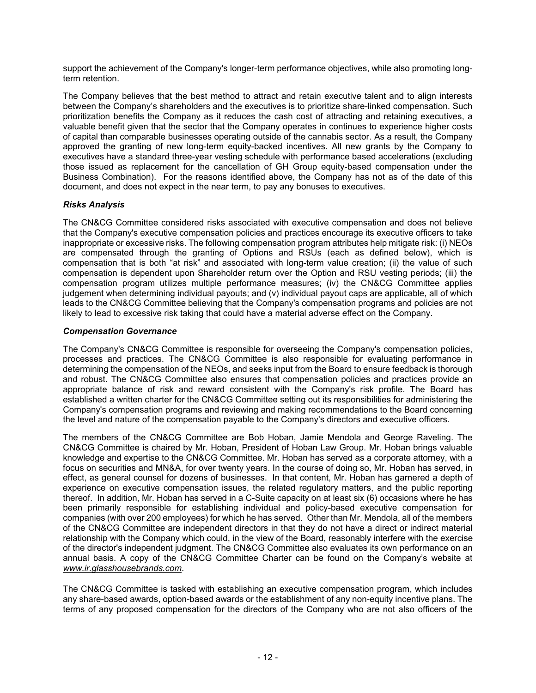support the achievement of the Company's longer-term performance objectives, while also promoting longterm retention.

The Company believes that the best method to attract and retain executive talent and to align interests between the Company's shareholders and the executives is to prioritize share-linked compensation. Such prioritization benefits the Company as it reduces the cash cost of attracting and retaining executives, a valuable benefit given that the sector that the Company operates in continues to experience higher costs of capital than comparable businesses operating outside of the cannabis sector. As a result, the Company approved the granting of new long-term equity-backed incentives. All new grants by the Company to executives have a standard three-year vesting schedule with performance based accelerations (excluding those issued as replacement for the cancellation of GH Group equity-based compensation under the Business Combination). For the reasons identified above, the Company has not as of the date of this document, and does not expect in the near term, to pay any bonuses to executives.

# *Risks Analysis*

The CN&CG Committee considered risks associated with executive compensation and does not believe that the Company's executive compensation policies and practices encourage its executive officers to take inappropriate or excessive risks. The following compensation program attributes help mitigate risk: (i) NEOs are compensated through the granting of Options and RSUs (each as defined below), which is compensation that is both "at risk" and associated with long-term value creation; (ii) the value of such compensation is dependent upon Shareholder return over the Option and RSU vesting periods; (iii) the compensation program utilizes multiple performance measures; (iv) the CN&CG Committee applies judgement when determining individual payouts; and (v) individual payout caps are applicable, all of which leads to the CN&CG Committee believing that the Company's compensation programs and policies are not likely to lead to excessive risk taking that could have a material adverse effect on the Company.

## *Compensation Governance*

The Company's CN&CG Committee is responsible for overseeing the Company's compensation policies, processes and practices. The CN&CG Committee is also responsible for evaluating performance in determining the compensation of the NEOs, and seeks input from the Board to ensure feedback is thorough and robust. The CN&CG Committee also ensures that compensation policies and practices provide an appropriate balance of risk and reward consistent with the Company's risk profile. The Board has established a written charter for the CN&CG Committee setting out its responsibilities for administering the Company's compensation programs and reviewing and making recommendations to the Board concerning the level and nature of the compensation payable to the Company's directors and executive officers.

The members of the CN&CG Committee are Bob Hoban, Jamie Mendola and George Raveling. The CN&CG Committee is chaired by Mr. Hoban, President of Hoban Law Group. Mr. Hoban brings valuable knowledge and expertise to the CN&CG Committee. Mr. Hoban has served as a corporate attorney, with a focus on securities and MN&A, for over twenty years. In the course of doing so, Mr. Hoban has served, in effect, as general counsel for dozens of businesses. In that content, Mr. Hoban has garnered a depth of experience on executive compensation issues, the related regulatory matters, and the public reporting thereof. In addition, Mr. Hoban has served in a C-Suite capacity on at least six (6) occasions where he has been primarily responsible for establishing individual and policy-based executive compensation for companies (with over 200 employees) for which he has served. Other than Mr. Mendola, all of the members of the CN&CG Committee are independent directors in that they do not have a direct or indirect material relationship with the Company which could, in the view of the Board, reasonably interfere with the exercise of the director's independent judgment. The CN&CG Committee also evaluates its own performance on an annual basis. A copy of the CN&CG Committee Charter can be found on the Company's website at *www.ir.glasshousebrands.com*.

The CN&CG Committee is tasked with establishing an executive compensation program, which includes any share-based awards, option-based awards or the establishment of any non-equity incentive plans. The terms of any proposed compensation for the directors of the Company who are not also officers of the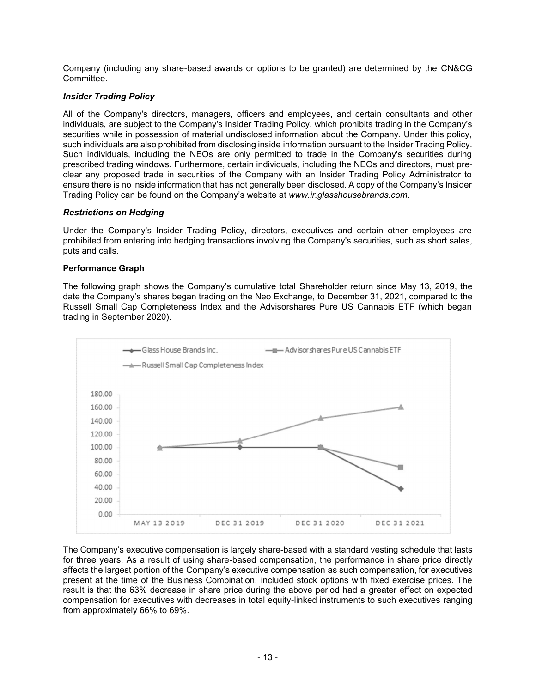Company (including any share-based awards or options to be granted) are determined by the CN&CG Committee.

## *Insider Trading Policy*

All of the Company's directors, managers, officers and employees, and certain consultants and other individuals, are subject to the Company's Insider Trading Policy, which prohibits trading in the Company's securities while in possession of material undisclosed information about the Company. Under this policy, such individuals are also prohibited from disclosing inside information pursuant to the Insider Trading Policy. Such individuals, including the NEOs are only permitted to trade in the Company's securities during prescribed trading windows. Furthermore, certain individuals, including the NEOs and directors, must preclear any proposed trade in securities of the Company with an Insider Trading Policy Administrator to ensure there is no inside information that has not generally been disclosed. A copy of the Company's Insider Trading Policy can be found on the Company's website at *www.ir.glasshousebrands.com*.

#### *Restrictions on Hedging*

Under the Company's Insider Trading Policy, directors, executives and certain other employees are prohibited from entering into hedging transactions involving the Company's securities, such as short sales, puts and calls.

#### **Performance Graph**

The following graph shows the Company's cumulative total Shareholder return since May 13, 2019, the date the Company's shares began trading on the Neo Exchange, to December 31, 2021, compared to the Russell Small Cap Completeness Index and the Advisorshares Pure US Cannabis ETF (which began trading in September 2020).



The Company's executive compensation is largely share-based with a standard vesting schedule that lasts for three years. As a result of using share-based compensation, the performance in share price directly affects the largest portion of the Company's executive compensation as such compensation, for executives present at the time of the Business Combination, included stock options with fixed exercise prices. The result is that the 63% decrease in share price during the above period had a greater effect on expected compensation for executives with decreases in total equity-linked instruments to such executives ranging from approximately 66% to 69%.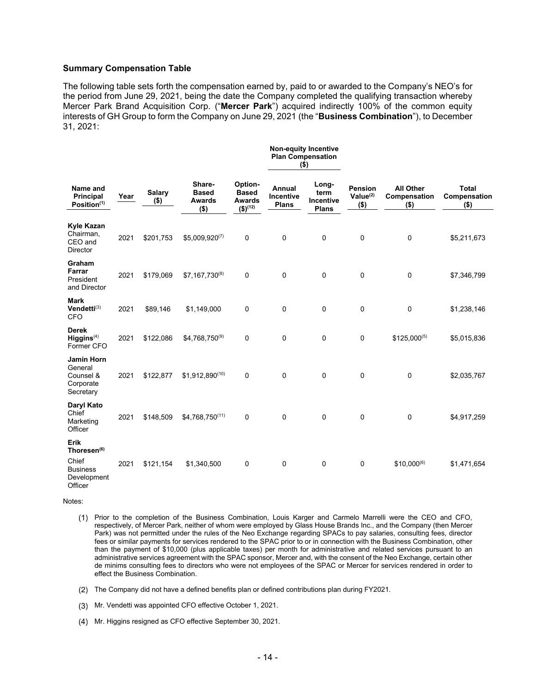#### **Summary Compensation Table**

The following table sets forth the compensation earned by, paid to or awarded to the Company's NEO's for the period from June 29, 2021, being the date the Company completed the qualifying transaction whereby Mercer Park Brand Acquisition Corp. ("**Mercer Park**") acquired indirectly 100% of the common equity interests of GH Group to form the Company on June 29, 2021 (the "**Business Combination**"), to December 31, 2021:

**Non-equity Incentive** 

|                                                                                       |                          |           |                    |             |                                                    | <b>Plan Compensation</b><br>$($ \$)                                 |                                            |                                                   |                                                   |                                             |                                         |
|---------------------------------------------------------------------------------------|--------------------------|-----------|--------------------|-------------|----------------------------------------------------|---------------------------------------------------------------------|--------------------------------------------|---------------------------------------------------|---------------------------------------------------|---------------------------------------------|-----------------------------------------|
| Name and<br>Principal<br>Year<br>Position <sup>(1)</sup>                              | <b>Salary</b><br>$($ \$) |           |                    |             | Share-<br><b>Based</b><br><b>Awards</b><br>$($ \$) | Option-<br><b>Based</b><br><b>Awards</b><br>$($ \$) <sup>(12)</sup> | Annual<br><b>Incentive</b><br><b>Plans</b> | Long-<br>term<br><b>Incentive</b><br><b>Plans</b> | <b>Pension</b><br>Value <sup>(2)</sup><br>$($ \$) | <b>All Other</b><br>Compensation<br>$($ \$) | <b>Total</b><br>Compensation<br>$($ \$) |
| Kyle Kazan<br>Chairman,<br>CEO and<br><b>Director</b>                                 | 2021                     | \$201,753 | $$5,009,920^{(7)}$ | $\mathbf 0$ | 0                                                  | 0                                                                   | $\pmb{0}$                                  | 0                                                 | \$5,211,673                                       |                                             |                                         |
| Graham<br>Farrar<br>President<br>and Director                                         | 2021                     | \$179,069 | $$7,167,730^{(8)}$ | $\mathbf 0$ | 0                                                  | 0                                                                   | $\pmb{0}$                                  | 0                                                 | \$7,346,799                                       |                                             |                                         |
| <b>Mark</b><br>Vendetti <sup>(3)</sup><br><b>CFO</b>                                  | 2021                     | \$89,146  | \$1,149,000        | $\mathbf 0$ | 0                                                  | 0                                                                   | $\mathbf 0$                                | $\mathbf 0$                                       | \$1,238,146                                       |                                             |                                         |
| <b>Derek</b><br>Higgsins <sup>(4)</sup><br>Former CFO                                 | 2021                     | \$122,086 | \$4,768,750(9)     | $\mathbf 0$ | 0                                                  | 0                                                                   | 0                                          | $$125,000^{(5)}$                                  | \$5,015,836                                       |                                             |                                         |
| <b>Jamin Horn</b><br>General<br>Counsel &<br>Corporate<br>Secretary                   | 2021                     | \$122,877 | \$1,912,890(10)    | $\mathbf 0$ | 0                                                  | 0                                                                   | $\mathbf 0$                                | 0                                                 | \$2,035,767                                       |                                             |                                         |
| Daryl Kato<br>Chief<br>Marketing<br>Officer                                           | 2021                     | \$148,509 | \$4,768,750(11)    | $\mathbf 0$ | 0                                                  | 0                                                                   | $\mathbf 0$                                | $\mathbf 0$                                       | \$4,917,259                                       |                                             |                                         |
| Erik<br>Thoresen <sup>(6)</sup><br>Chief<br><b>Business</b><br>Development<br>Officer | 2021                     | \$121,154 | \$1,340,500        | 0           | 0                                                  | 0                                                                   | 0                                          | $$10,000^{(6)}$                                   | \$1,471,654                                       |                                             |                                         |

Notes:

- Prior to the completion of the Business Combination, Louis Karger and Carmelo Marrelli were the CEO and CFO, respectively, of Mercer Park, neither of whom were employed by Glass House Brands Inc., and the Company (then Mercer Park) was not permitted under the rules of the Neo Exchange regarding SPACs to pay salaries, consulting fees, director fees or similar payments for services rendered to the SPAC prior to or in connection with the Business Combination, other than the payment of \$10,000 (plus applicable taxes) per month for administrative and related services pursuant to an administrative services agreement with the SPAC sponsor, Mercer and, with the consent of the Neo Exchange, certain other de minims consulting fees to directors who were not employees of the SPAC or Mercer for services rendered in order to effect the Business Combination.
- The Company did not have a defined benefits plan or defined contributions plan during FY2021.
- Mr. Vendetti was appointed CFO effective October 1, 2021.
- (4) Mr. Higgins resigned as CFO effective September 30, 2021.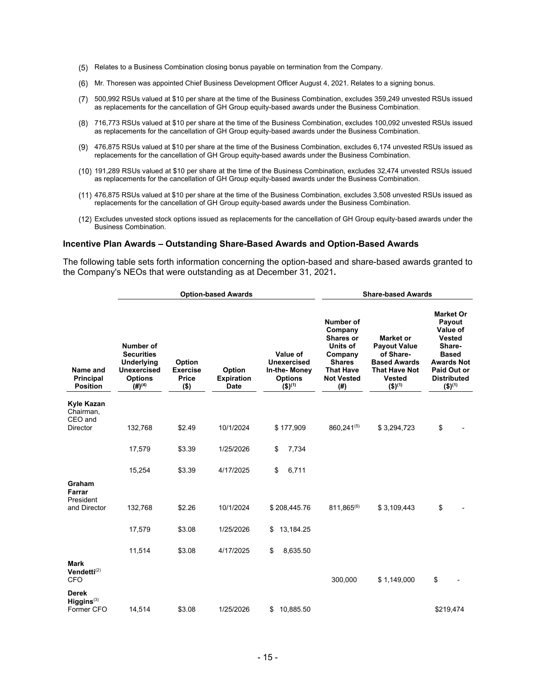- Relates to a Business Combination closing bonus payable on termination from the Company.
- Mr. Thoresen was appointed Chief Business Development Officer August 4, 2021. Relates to a signing bonus.
- 500,992 RSUs valued at \$10 per share at the time of the Business Combination, excludes 359,249 unvested RSUs issued as replacements for the cancellation of GH Group equity-based awards under the Business Combination.
- 716,773 RSUs valued at \$10 per share at the time of the Business Combination, excludes 100,092 unvested RSUs issued as replacements for the cancellation of GH Group equity-based awards under the Business Combination.
- 476,875 RSUs valued at \$10 per share at the time of the Business Combination, excludes 6,174 unvested RSUs issued as replacements for the cancellation of GH Group equity-based awards under the Business Combination.
- 191,289 RSUs valued at \$10 per share at the time of the Business Combination, excludes 32,474 unvested RSUs issued as replacements for the cancellation of GH Group equity-based awards under the Business Combination.
- 476,875 RSUs valued at \$10 per share at the time of the Business Combination, excludes 3,508 unvested RSUs issued as replacements for the cancellation of GH Group equity-based awards under the Business Combination.
- Excludes unvested stock options issued as replacements for the cancellation of GH Group equity-based awards under the Business Combination.

#### **Incentive Plan Awards – Outstanding Share-Based Awards and Option-Based Awards**

The following table sets forth information concerning the option-based and share-based awards granted to the Company's NEOs that were outstanding as at December 31, 2021**.**

|                                                         |                                                                                                       |                                               | <b>Option-based Awards</b>                 | <b>Share-based Awards</b>                                                                  |                                                                                                                                         |                                                                                                                                         |                                                                                                                                                                       |  |
|---------------------------------------------------------|-------------------------------------------------------------------------------------------------------|-----------------------------------------------|--------------------------------------------|--------------------------------------------------------------------------------------------|-----------------------------------------------------------------------------------------------------------------------------------------|-----------------------------------------------------------------------------------------------------------------------------------------|-----------------------------------------------------------------------------------------------------------------------------------------------------------------------|--|
| Name and<br><b>Principal</b><br><b>Position</b>         | Number of<br><b>Securities</b><br>Underlying<br>Unexercised<br><b>Options</b><br>$(4)$ <sup>(4)</sup> | Option<br><b>Exercise</b><br>Price<br>$($ \$) | Option<br><b>Expiration</b><br><b>Date</b> | Value of<br><b>Unexercised</b><br>In-the-Money<br><b>Options</b><br>$($ \$) <sup>(1)</sup> | <b>Number of</b><br>Company<br><b>Shares or</b><br>Units of<br>Company<br><b>Shares</b><br><b>That Have</b><br><b>Not Vested</b><br>(#) | Market or<br><b>Payout Value</b><br>of Share-<br><b>Based Awards</b><br><b>That Have Not</b><br><b>Vested</b><br>$($ \$) <sup>(1)</sup> | <b>Market Or</b><br>Payout<br>Value of<br><b>Vested</b><br>Share-<br><b>Based</b><br><b>Awards Not</b><br>Paid Out or<br><b>Distributed</b><br>$($ \$) <sup>(1)</sup> |  |
| Kyle Kazan<br>Chairman,<br>CEO and<br><b>Director</b>   | 132,768                                                                                               | \$2.49                                        | 10/1/2024                                  | \$177,909                                                                                  | 860,241(5)                                                                                                                              | \$3,294,723                                                                                                                             | \$                                                                                                                                                                    |  |
|                                                         | 17,579                                                                                                | \$3.39                                        | 1/25/2026                                  | \$<br>7,734                                                                                |                                                                                                                                         |                                                                                                                                         |                                                                                                                                                                       |  |
|                                                         | 15,254                                                                                                | \$3.39                                        | 4/17/2025                                  | \$<br>6,711                                                                                |                                                                                                                                         |                                                                                                                                         |                                                                                                                                                                       |  |
| Graham<br>Farrar<br>President<br>and Director           | 132,768                                                                                               | \$2.26                                        | 10/1/2024                                  | \$208,445.76                                                                               | 811,865(6)                                                                                                                              | \$3,109,443                                                                                                                             | \$                                                                                                                                                                    |  |
|                                                         | 17,579                                                                                                | \$3.08                                        | 1/25/2026                                  | 13,184.25<br>\$                                                                            |                                                                                                                                         |                                                                                                                                         |                                                                                                                                                                       |  |
|                                                         | 11,514                                                                                                | \$3.08                                        | 4/17/2025                                  | \$<br>8,635.50                                                                             |                                                                                                                                         |                                                                                                                                         |                                                                                                                                                                       |  |
| <b>Mark</b><br>Vendetti <sup>(2)</sup><br><b>CFO</b>    |                                                                                                       |                                               |                                            |                                                                                            | 300,000                                                                                                                                 | \$1,149,000                                                                                                                             | \$                                                                                                                                                                    |  |
| <b>Derek</b><br>$Higgsins$ <sup>(3)</sup><br>Former CFO | 14,514                                                                                                | \$3.08                                        | 1/25/2026                                  | 10,885.50<br>\$                                                                            |                                                                                                                                         |                                                                                                                                         | \$219,474                                                                                                                                                             |  |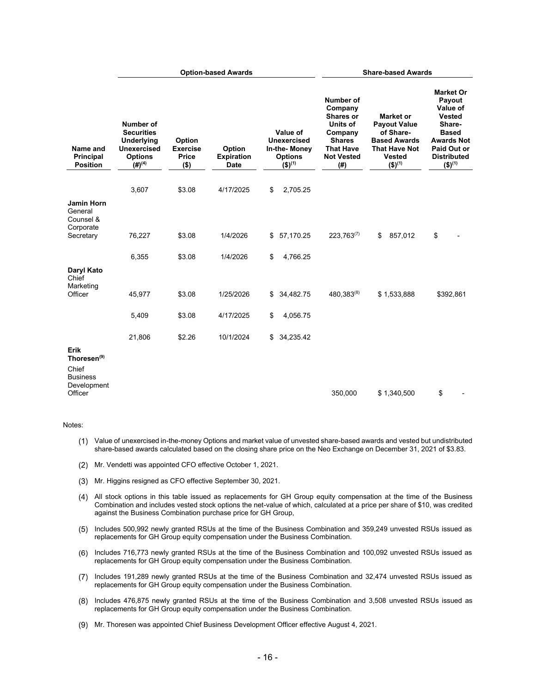|                                                                               | <b>Option-based Awards</b>                                                                            |                                                      |                                            | <b>Share-based Awards</b>                                                           |                                                                                                                                  |                                                                                                                                                |                                                                                                                                                                       |
|-------------------------------------------------------------------------------|-------------------------------------------------------------------------------------------------------|------------------------------------------------------|--------------------------------------------|-------------------------------------------------------------------------------------|----------------------------------------------------------------------------------------------------------------------------------|------------------------------------------------------------------------------------------------------------------------------------------------|-----------------------------------------------------------------------------------------------------------------------------------------------------------------------|
| Name and<br><b>Principal</b><br><b>Position</b>                               | Number of<br><b>Securities</b><br>Underlying<br>Unexercised<br><b>Options</b><br>$(4)$ <sup>(4)</sup> | Option<br><b>Exercise</b><br><b>Price</b><br>$($ \$) | Option<br><b>Expiration</b><br><b>Date</b> | Value of<br>Unexercised<br>In-the-Money<br><b>Options</b><br>$($ \$) <sup>(1)</sup> | Number of<br>Company<br><b>Shares or</b><br>Units of<br>Company<br><b>Shares</b><br><b>That Have</b><br><b>Not Vested</b><br>(#) | <b>Market or</b><br><b>Payout Value</b><br>of Share-<br><b>Based Awards</b><br><b>That Have Not</b><br><b>Vested</b><br>$($ \$) <sup>(1)</sup> | <b>Market Or</b><br>Payout<br>Value of<br><b>Vested</b><br>Share-<br><b>Based</b><br><b>Awards Not</b><br>Paid Out or<br><b>Distributed</b><br>$($ \$) <sup>(1)</sup> |
|                                                                               | 3,607                                                                                                 | \$3.08                                               | 4/17/2025                                  | \$<br>2,705.25                                                                      |                                                                                                                                  |                                                                                                                                                |                                                                                                                                                                       |
| <b>Jamin Horn</b><br>General<br>Counsel &<br>Corporate<br>Secretary           | 76,227                                                                                                | \$3.08                                               | 1/4/2026                                   | 57,170.25<br>\$                                                                     | $223,763^{(7)}$                                                                                                                  | \$<br>857,012                                                                                                                                  | \$                                                                                                                                                                    |
|                                                                               | 6,355                                                                                                 | \$3.08                                               | 1/4/2026                                   | \$<br>4,766.25                                                                      |                                                                                                                                  |                                                                                                                                                |                                                                                                                                                                       |
| Daryl Kato<br>Chief<br>Marketing<br>Officer                                   | 45,977<br>5,409                                                                                       | \$3.08<br>\$3.08                                     | 1/25/2026<br>4/17/2025                     | \$34,482.75<br>\$<br>4,056.75                                                       | 480,383(8)                                                                                                                       | \$1,533,888                                                                                                                                    | \$392,861                                                                                                                                                             |
| Erik                                                                          | 21,806                                                                                                | \$2.26                                               | 10/1/2024                                  | 34,235.42<br>\$                                                                     |                                                                                                                                  |                                                                                                                                                |                                                                                                                                                                       |
| Thoresen <sup>(9)</sup><br>Chief<br><b>Business</b><br>Development<br>Officer |                                                                                                       |                                                      |                                            |                                                                                     | 350,000                                                                                                                          | \$1,340,500                                                                                                                                    | \$                                                                                                                                                                    |

#### Notes:

- Value of unexercised in-the-money Options and market value of unvested share-based awards and vested but undistributed share-based awards calculated based on the closing share price on the Neo Exchange on December 31, 2021 of \$3.83.
- (2) Mr. Vendetti was appointed CFO effective October 1, 2021.
- Mr. Higgins resigned as CFO effective September 30, 2021.
- All stock options in this table issued as replacements for GH Group equity compensation at the time of the Business Combination and includes vested stock options the net-value of which, calculated at a price per share of \$10, was credited against the Business Combination purchase price for GH Group,
- Includes 500,992 newly granted RSUs at the time of the Business Combination and 359,249 unvested RSUs issued as replacements for GH Group equity compensation under the Business Combination.
- Includes 716,773 newly granted RSUs at the time of the Business Combination and 100,092 unvested RSUs issued as replacements for GH Group equity compensation under the Business Combination.
- Includes 191,289 newly granted RSUs at the time of the Business Combination and 32,474 unvested RSUs issued as replacements for GH Group equity compensation under the Business Combination.
- $(8)$ Includes 476,875 newly granted RSUs at the time of the Business Combination and 3,508 unvested RSUs issued as replacements for GH Group equity compensation under the Business Combination.
- Mr. Thoresen was appointed Chief Business Development Officer effective August 4, 2021.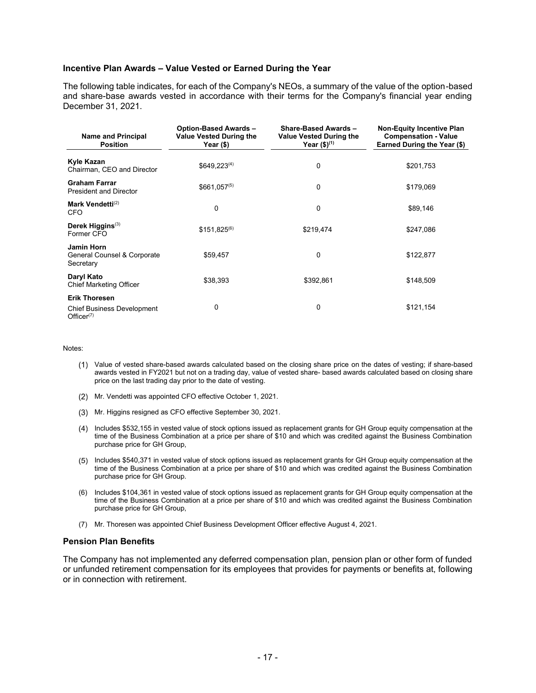#### **Incentive Plan Awards – Value Vested or Earned During the Year**

The following table indicates, for each of the Company's NEOs, a summary of the value of the option-based and share-base awards vested in accordance with their terms for the Company's financial year ending December 31, 2021.

| <b>Name and Principal</b><br><b>Position</b>                                  | <b>Option-Based Awards-</b><br><b>Value Vested During the</b><br>Year (\$) | <b>Share-Based Awards -</b><br><b>Value Vested During the</b><br>Year $($)^{(1)}$ | <b>Non-Equity Incentive Plan</b><br><b>Compensation - Value</b><br>Earned During the Year (\$) |  |
|-------------------------------------------------------------------------------|----------------------------------------------------------------------------|-----------------------------------------------------------------------------------|------------------------------------------------------------------------------------------------|--|
| Kyle Kazan<br>Chairman, CEO and Director                                      | $$649,223^{(4)}$$                                                          | 0                                                                                 | \$201,753                                                                                      |  |
| <b>Graham Farrar</b><br><b>President and Director</b>                         | $$661,057^{(5)}$$                                                          | 0                                                                                 | \$179,069                                                                                      |  |
| Mark Vendetti <sup>(2)</sup><br><b>CFO</b>                                    | 0                                                                          | 0                                                                                 | \$89,146                                                                                       |  |
| Derek Higgins <sup>(3)</sup><br>Former CFO                                    | $$151,825^{(6)}$                                                           | \$219,474                                                                         | \$247,086                                                                                      |  |
| <b>Jamin Horn</b><br>General Counsel & Corporate<br>Secretary                 | \$59,457                                                                   | 0                                                                                 | \$122,877                                                                                      |  |
| Daryl Kato<br><b>Chief Marketing Officer</b>                                  | \$38,393                                                                   | \$392,861                                                                         | \$148,509                                                                                      |  |
| <b>Erik Thoresen</b><br><b>Chief Business Development</b><br>Office $r^{(7)}$ | 0                                                                          | 0                                                                                 | \$121,154                                                                                      |  |

#### Notes:

- Value of vested share-based awards calculated based on the closing share price on the dates of vesting; if share-based awards vested in FY2021 but not on a trading day, value of vested share- based awards calculated based on closing share price on the last trading day prior to the date of vesting.
- Mr. Vendetti was appointed CFO effective October 1, 2021.
- Mr. Higgins resigned as CFO effective September 30, 2021.
- Includes \$532,155 in vested value of stock options issued as replacement grants for GH Group equity compensation at the time of the Business Combination at a price per share of \$10 and which was credited against the Business Combination purchase price for GH Group,
- Includes \$540,371 in vested value of stock options issued as replacement grants for GH Group equity compensation at the time of the Business Combination at a price per share of \$10 and which was credited against the Business Combination purchase price for GH Group.
- (6) Includes \$104,361 in vested value of stock options issued as replacement grants for GH Group equity compensation at the time of the Business Combination at a price per share of \$10 and which was credited against the Business Combination purchase price for GH Group,
- (7) Mr. Thoresen was appointed Chief Business Development Officer effective August 4, 2021.

#### **Pension Plan Benefits**

The Company has not implemented any deferred compensation plan, pension plan or other form of funded or unfunded retirement compensation for its employees that provides for payments or benefits at, following or in connection with retirement.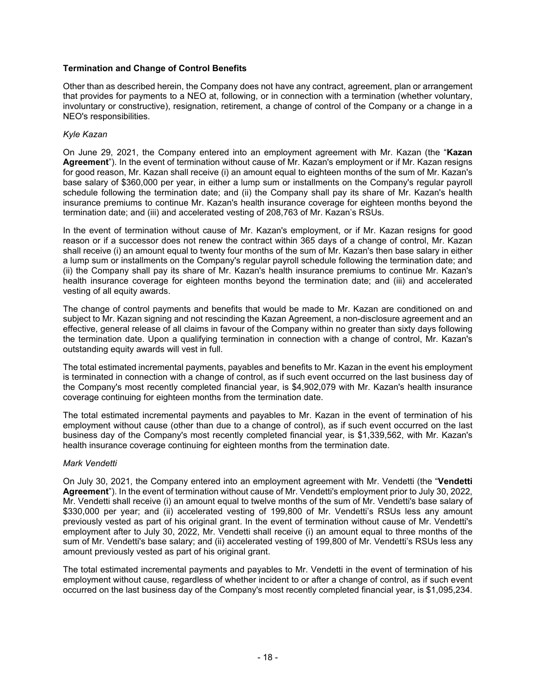## **Termination and Change of Control Benefits**

Other than as described herein, the Company does not have any contract, agreement, plan or arrangement that provides for payments to a NEO at, following, or in connection with a termination (whether voluntary, involuntary or constructive), resignation, retirement, a change of control of the Company or a change in a NEO's responsibilities.

### *Kyle Kazan*

On June 29, 2021, the Company entered into an employment agreement with Mr. Kazan (the "**Kazan Agreement**"). In the event of termination without cause of Mr. Kazan's employment or if Mr. Kazan resigns for good reason, Mr. Kazan shall receive (i) an amount equal to eighteen months of the sum of Mr. Kazan's base salary of \$360,000 per year, in either a lump sum or installments on the Company's regular payroll schedule following the termination date; and (ii) the Company shall pay its share of Mr. Kazan's health insurance premiums to continue Mr. Kazan's health insurance coverage for eighteen months beyond the termination date; and (iii) and accelerated vesting of 208,763 of Mr. Kazan's RSUs.

In the event of termination without cause of Mr. Kazan's employment, or if Mr. Kazan resigns for good reason or if a successor does not renew the contract within 365 days of a change of control, Mr. Kazan shall receive (i) an amount equal to twenty four months of the sum of Mr. Kazan's then base salary in either a lump sum or installments on the Company's regular payroll schedule following the termination date; and (ii) the Company shall pay its share of Mr. Kazan's health insurance premiums to continue Mr. Kazan's health insurance coverage for eighteen months beyond the termination date; and (iii) and accelerated vesting of all equity awards.

The change of control payments and benefits that would be made to Mr. Kazan are conditioned on and subject to Mr. Kazan signing and not rescinding the Kazan Agreement, a non-disclosure agreement and an effective, general release of all claims in favour of the Company within no greater than sixty days following the termination date. Upon a qualifying termination in connection with a change of control, Mr. Kazan's outstanding equity awards will vest in full.

The total estimated incremental payments, payables and benefits to Mr. Kazan in the event his employment is terminated in connection with a change of control, as if such event occurred on the last business day of the Company's most recently completed financial year, is \$4,902,079 with Mr. Kazan's health insurance coverage continuing for eighteen months from the termination date.

The total estimated incremental payments and payables to Mr. Kazan in the event of termination of his employment without cause (other than due to a change of control), as if such event occurred on the last business day of the Company's most recently completed financial year, is \$1,339,562, with Mr. Kazan's health insurance coverage continuing for eighteen months from the termination date.

#### *Mark Vendetti*

On July 30, 2021, the Company entered into an employment agreement with Mr. Vendetti (the "**Vendetti Agreement**"). In the event of termination without cause of Mr. Vendetti's employment prior to July 30, 2022, Mr. Vendetti shall receive (i) an amount equal to twelve months of the sum of Mr. Vendetti's base salary of \$330,000 per year; and (ii) accelerated vesting of 199,800 of Mr. Vendetti's RSUs less any amount previously vested as part of his original grant. In the event of termination without cause of Mr. Vendetti's employment after to July 30, 2022, Mr. Vendetti shall receive (i) an amount equal to three months of the sum of Mr. Vendetti's base salary; and (ii) accelerated vesting of 199,800 of Mr. Vendetti's RSUs less any amount previously vested as part of his original grant.

The total estimated incremental payments and payables to Mr. Vendetti in the event of termination of his employment without cause, regardless of whether incident to or after a change of control, as if such event occurred on the last business day of the Company's most recently completed financial year, is \$1,095,234.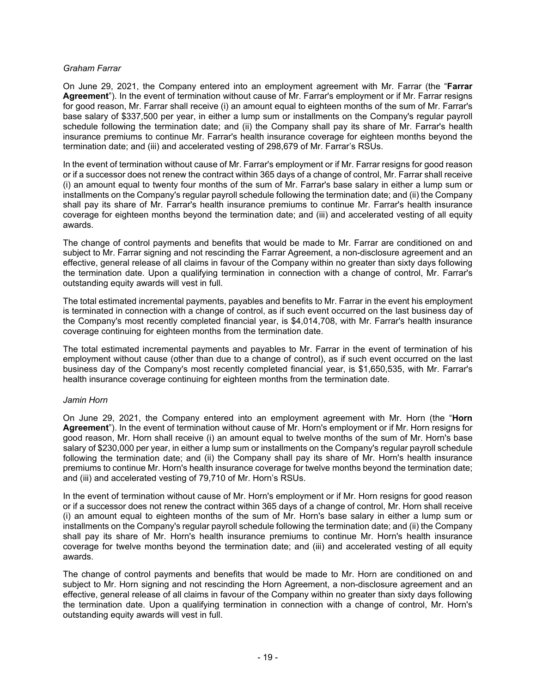#### *Graham Farrar*

On June 29, 2021, the Company entered into an employment agreement with Mr. Farrar (the "**Farrar Agreement**"). In the event of termination without cause of Mr. Farrar's employment or if Mr. Farrar resigns for good reason, Mr. Farrar shall receive (i) an amount equal to eighteen months of the sum of Mr. Farrar's base salary of \$337,500 per year, in either a lump sum or installments on the Company's regular payroll schedule following the termination date; and (ii) the Company shall pay its share of Mr. Farrar's health insurance premiums to continue Mr. Farrar's health insurance coverage for eighteen months beyond the termination date; and (iii) and accelerated vesting of 298,679 of Mr. Farrar's RSUs.

In the event of termination without cause of Mr. Farrar's employment or if Mr. Farrar resigns for good reason or if a successor does not renew the contract within 365 days of a change of control, Mr. Farrar shall receive (i) an amount equal to twenty four months of the sum of Mr. Farrar's base salary in either a lump sum or installments on the Company's regular payroll schedule following the termination date; and (ii) the Company shall pay its share of Mr. Farrar's health insurance premiums to continue Mr. Farrar's health insurance coverage for eighteen months beyond the termination date; and (iii) and accelerated vesting of all equity awards.

The change of control payments and benefits that would be made to Mr. Farrar are conditioned on and subject to Mr. Farrar signing and not rescinding the Farrar Agreement, a non-disclosure agreement and an effective, general release of all claims in favour of the Company within no greater than sixty days following the termination date. Upon a qualifying termination in connection with a change of control, Mr. Farrar's outstanding equity awards will vest in full.

The total estimated incremental payments, payables and benefits to Mr. Farrar in the event his employment is terminated in connection with a change of control, as if such event occurred on the last business day of the Company's most recently completed financial year, is \$4,014,708, with Mr. Farrar's health insurance coverage continuing for eighteen months from the termination date.

The total estimated incremental payments and payables to Mr. Farrar in the event of termination of his employment without cause (other than due to a change of control), as if such event occurred on the last business day of the Company's most recently completed financial year, is \$1,650,535, with Mr. Farrar's health insurance coverage continuing for eighteen months from the termination date.

#### *Jamin Horn*

On June 29, 2021, the Company entered into an employment agreement with Mr. Horn (the "**Horn Agreement**"). In the event of termination without cause of Mr. Horn's employment or if Mr. Horn resigns for good reason, Mr. Horn shall receive (i) an amount equal to twelve months of the sum of Mr. Horn's base salary of \$230,000 per year, in either a lump sum or installments on the Company's regular payroll schedule following the termination date; and (ii) the Company shall pay its share of Mr. Horn's health insurance premiums to continue Mr. Horn's health insurance coverage for twelve months beyond the termination date; and (iii) and accelerated vesting of 79,710 of Mr. Horn's RSUs.

In the event of termination without cause of Mr. Horn's employment or if Mr. Horn resigns for good reason or if a successor does not renew the contract within 365 days of a change of control, Mr. Horn shall receive (i) an amount equal to eighteen months of the sum of Mr. Horn's base salary in either a lump sum or installments on the Company's regular payroll schedule following the termination date; and (ii) the Company shall pay its share of Mr. Horn's health insurance premiums to continue Mr. Horn's health insurance coverage for twelve months beyond the termination date; and (iii) and accelerated vesting of all equity awards.

The change of control payments and benefits that would be made to Mr. Horn are conditioned on and subject to Mr. Horn signing and not rescinding the Horn Agreement, a non-disclosure agreement and an effective, general release of all claims in favour of the Company within no greater than sixty days following the termination date. Upon a qualifying termination in connection with a change of control, Mr. Horn's outstanding equity awards will vest in full.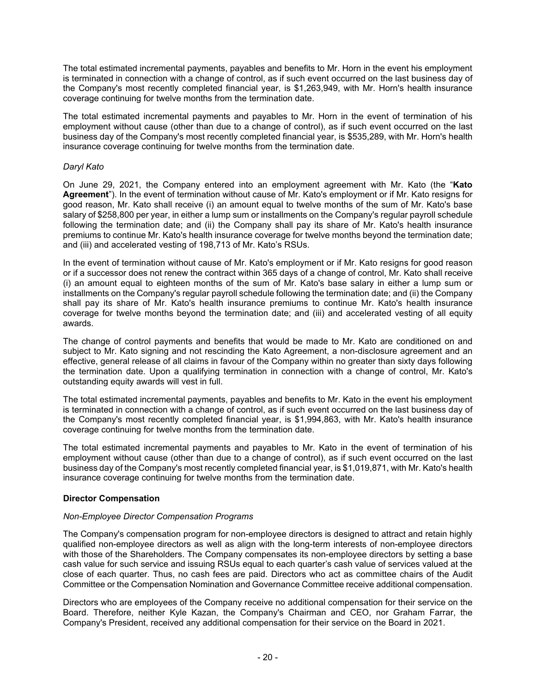The total estimated incremental payments, payables and benefits to Mr. Horn in the event his employment is terminated in connection with a change of control, as if such event occurred on the last business day of the Company's most recently completed financial year, is \$1,263,949, with Mr. Horn's health insurance coverage continuing for twelve months from the termination date.

The total estimated incremental payments and payables to Mr. Horn in the event of termination of his employment without cause (other than due to a change of control), as if such event occurred on the last business day of the Company's most recently completed financial year, is \$535,289, with Mr. Horn's health insurance coverage continuing for twelve months from the termination date.

## *Daryl Kato*

On June 29, 2021, the Company entered into an employment agreement with Mr. Kato (the "**Kato Agreement**"). In the event of termination without cause of Mr. Kato's employment or if Mr. Kato resigns for good reason, Mr. Kato shall receive (i) an amount equal to twelve months of the sum of Mr. Kato's base salary of \$258,800 per year, in either a lump sum or installments on the Company's regular payroll schedule following the termination date; and (ii) the Company shall pay its share of Mr. Kato's health insurance premiums to continue Mr. Kato's health insurance coverage for twelve months beyond the termination date; and (iii) and accelerated vesting of 198,713 of Mr. Kato's RSUs.

In the event of termination without cause of Mr. Kato's employment or if Mr. Kato resigns for good reason or if a successor does not renew the contract within 365 days of a change of control, Mr. Kato shall receive (i) an amount equal to eighteen months of the sum of Mr. Kato's base salary in either a lump sum or installments on the Company's regular payroll schedule following the termination date; and (ii) the Company shall pay its share of Mr. Kato's health insurance premiums to continue Mr. Kato's health insurance coverage for twelve months beyond the termination date; and (iii) and accelerated vesting of all equity awards.

The change of control payments and benefits that would be made to Mr. Kato are conditioned on and subject to Mr. Kato signing and not rescinding the Kato Agreement, a non-disclosure agreement and an effective, general release of all claims in favour of the Company within no greater than sixty days following the termination date. Upon a qualifying termination in connection with a change of control, Mr. Kato's outstanding equity awards will vest in full.

The total estimated incremental payments, payables and benefits to Mr. Kato in the event his employment is terminated in connection with a change of control, as if such event occurred on the last business day of the Company's most recently completed financial year, is \$1,994,863, with Mr. Kato's health insurance coverage continuing for twelve months from the termination date.

The total estimated incremental payments and payables to Mr. Kato in the event of termination of his employment without cause (other than due to a change of control), as if such event occurred on the last business day of the Company's most recently completed financial year, is \$1,019,871, with Mr. Kato's health insurance coverage continuing for twelve months from the termination date.

## **Director Compensation**

## *Non-Employee Director Compensation Programs*

The Company's compensation program for non-employee directors is designed to attract and retain highly qualified non-employee directors as well as align with the long-term interests of non-employee directors with those of the Shareholders. The Company compensates its non-employee directors by setting a base cash value for such service and issuing RSUs equal to each quarter's cash value of services valued at the close of each quarter. Thus, no cash fees are paid. Directors who act as committee chairs of the Audit Committee or the Compensation Nomination and Governance Committee receive additional compensation.

Directors who are employees of the Company receive no additional compensation for their service on the Board. Therefore, neither Kyle Kazan, the Company's Chairman and CEO, nor Graham Farrar, the Company's President, received any additional compensation for their service on the Board in 2021.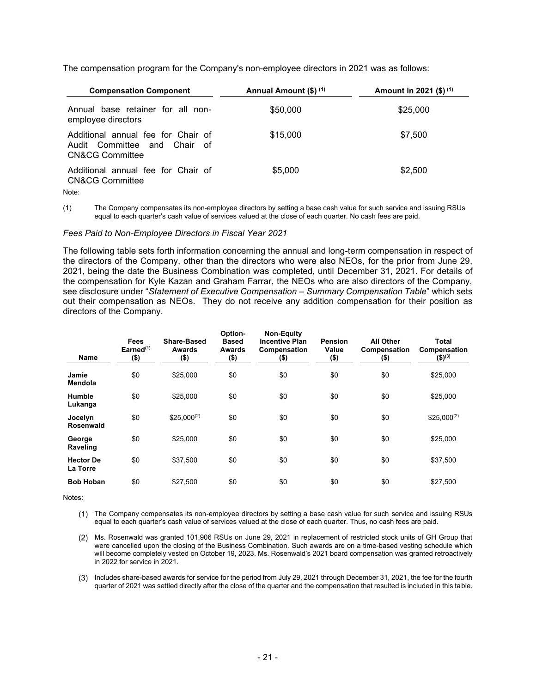The compensation program for the Company's non-employee directors in 2021 was as follows:

| <b>Compensation Component</b>                                                                    | Annual Amount (\$) (1) | Amount in 2021 (\$) $(1)$ |
|--------------------------------------------------------------------------------------------------|------------------------|---------------------------|
| Annual base retainer for all non-<br>employee directors                                          | \$50,000               | \$25,000                  |
| Additional annual fee for Chair of<br>Audit Committee and Chair of<br><b>CN&amp;CG Committee</b> | \$15,000               | \$7,500                   |
| Additional annual fee for Chair of<br><b>CN&amp;CG Committee</b>                                 | \$5,000                | \$2,500                   |
| Note:                                                                                            |                        |                           |

(1) The Company compensates its non-employee directors by setting a base cash value for such service and issuing RSUs equal to each quarter's cash value of services valued at the close of each quarter. No cash fees are paid.

#### *Fees Paid to Non-Employee Directors in Fiscal Year 2021*

The following table sets forth information concerning the annual and long-term compensation in respect of the directors of the Company, other than the directors who were also NEOs, for the prior from June 29, 2021, being the date the Business Combination was completed, until December 31, 2021. For details of the compensation for Kyle Kazan and Graham Farrar, the NEOs who are also directors of the Company, see disclosure under "*Statement of Executive Compensation – Summary Compensation Table*" which sets out their compensation as NEOs. They do not receive any addition compensation for their position as directors of the Company.

| <b>Name</b>                  | Fees<br>Earned $(1)$<br>(\$) | <b>Share-Based</b><br>Awards<br>$($ \$) | Option-<br><b>Based</b><br>Awards<br>(\$) | <b>Non-Equity</b><br><b>Incentive Plan</b><br>Compensation<br>\$) | <b>Pension</b><br>Value<br>$($ \$) | <b>All Other</b><br>Compensation<br>(\$) | Total<br>Compensation<br>$($ \$) <sup>(3)</sup> |
|------------------------------|------------------------------|-----------------------------------------|-------------------------------------------|-------------------------------------------------------------------|------------------------------------|------------------------------------------|-------------------------------------------------|
| Jamie<br>Mendola             | \$0                          | \$25,000                                | \$0                                       | \$0                                                               | \$0                                | \$0                                      | \$25,000                                        |
| Humble<br>Lukanga            | \$0                          | \$25,000                                | \$0                                       | \$0                                                               | \$0                                | \$0                                      | \$25,000                                        |
| Jocelyn<br><b>Rosenwald</b>  | \$0                          | $$25,000^{(2)}$                         | \$0                                       | \$0                                                               | \$0                                | \$0                                      | $$25,000^{(2)}$                                 |
| George<br>Raveling           | \$0                          | \$25,000                                | \$0                                       | \$0                                                               | \$0                                | \$0                                      | \$25,000                                        |
| <b>Hector De</b><br>La Torre | \$0                          | \$37.500                                | \$0                                       | \$0                                                               | \$0                                | \$0                                      | \$37,500                                        |
| <b>Bob Hoban</b>             | \$0                          | \$27,500                                | \$0                                       | \$0                                                               | \$0                                | \$0                                      | \$27,500                                        |

Notes:

- The Company compensates its non-employee directors by setting a base cash value for such service and issuing RSUs equal to each quarter's cash value of services valued at the close of each quarter. Thus, no cash fees are paid.
- Ms. Rosenwald was granted 101,906 RSUs on June 29, 2021 in replacement of restricted stock units of GH Group that were cancelled upon the closing of the Business Combination. Such awards are on a time-based vesting schedule which will become completely vested on October 19, 2023. Ms. Rosenwald's 2021 board compensation was granted retroactively in 2022 for service in 2021.
- Includes share-based awards for service for the period from July 29, 2021 through December 31, 2021, the fee for the fourth quarter of 2021 was settled directly after the close of the quarter and the compensation that resulted is included in this table.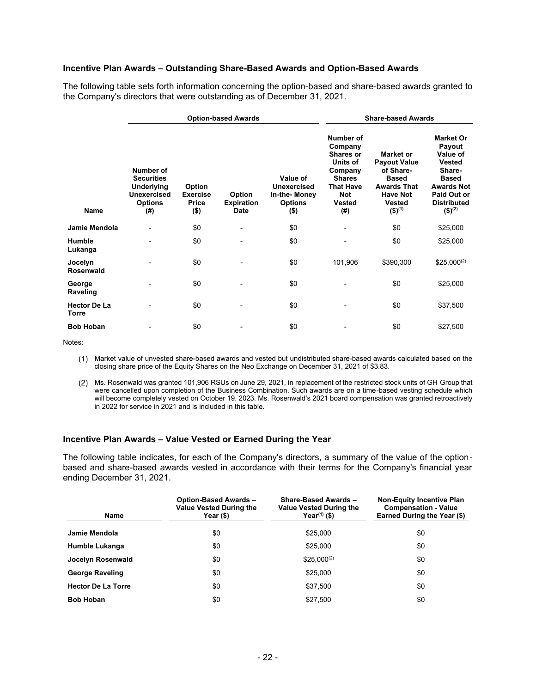#### **Incentive Plan Awards – Outstanding Share-Based Awards and Option-Based Awards**

The following table sets forth information concerning the option-based and share-based awards granted to the Company's directors that were outstanding as of December 31, 2021.

|                              |                                                                                             |                                                      | <b>Option-based Awards</b>          |                                                                             | <b>Share-based Awards</b>                                                                                                           |                                                                                                                                                          |                                                                                                                                                                |
|------------------------------|---------------------------------------------------------------------------------------------|------------------------------------------------------|-------------------------------------|-----------------------------------------------------------------------------|-------------------------------------------------------------------------------------------------------------------------------------|----------------------------------------------------------------------------------------------------------------------------------------------------------|----------------------------------------------------------------------------------------------------------------------------------------------------------------|
| Name                         | Number of<br><b>Securities</b><br>Underlying<br><b>Unexercised</b><br><b>Options</b><br>(#) | Option<br><b>Exercise</b><br><b>Price</b><br>$($ \$) | Option<br><b>Expiration</b><br>Date | Value of<br><b>Unexercised</b><br>In-the-Money<br><b>Options</b><br>$($ \$) | Number of<br>Company<br>Shares or<br>Units of<br>Company<br><b>Shares</b><br><b>That Have</b><br><b>Not</b><br><b>Vested</b><br>(#) | <b>Market or</b><br><b>Payout Value</b><br>of Share-<br><b>Based</b><br><b>Awards That</b><br><b>Have Not</b><br><b>Vested</b><br>$($ \$) <sup>(1)</sup> | <b>Market Or</b><br>Payout<br>Value of<br>Vested<br>Share-<br><b>Based</b><br><b>Awards Not</b><br>Paid Out or<br><b>Distributed</b><br>$($ \$) <sup>(2)</sup> |
| Jamie Mendola                |                                                                                             | \$0                                                  | $\overline{\phantom{0}}$            | \$0                                                                         |                                                                                                                                     | \$0                                                                                                                                                      | \$25,000                                                                                                                                                       |
| <b>Humble</b><br>Lukanga     |                                                                                             | \$0                                                  |                                     | \$0                                                                         |                                                                                                                                     | \$0                                                                                                                                                      | \$25,000                                                                                                                                                       |
| Jocelyn<br>Rosenwald         |                                                                                             | \$0                                                  |                                     | \$0                                                                         | 101,906                                                                                                                             | \$390,300                                                                                                                                                | $$25,000^{(2)}$                                                                                                                                                |
| George<br>Raveling           |                                                                                             | \$0                                                  |                                     | \$0                                                                         |                                                                                                                                     | \$0                                                                                                                                                      | \$25,000                                                                                                                                                       |
| <b>Hector De La</b><br>Torre |                                                                                             | \$0                                                  |                                     | \$0                                                                         |                                                                                                                                     | \$0                                                                                                                                                      | \$37,500                                                                                                                                                       |
| <b>Bob Hoban</b>             |                                                                                             | \$0                                                  |                                     | \$0                                                                         |                                                                                                                                     | \$0                                                                                                                                                      | \$27,500                                                                                                                                                       |

Notes:

- Market value of unvested share-based awards and vested but undistributed share-based awards calculated based on the closing share price of the Equity Shares on the Neo Exchange on December 31, 2021 of \$3.83.
- Ms. Rosenwald was granted 101,906 RSUs on June 29, 2021, in replacement of the restricted stock units of GH Group that were cancelled upon completion of the Business Combination. Such awards are on a time-based vesting schedule which will become completely vested on October 19, 2023. Ms. Rosenwald's 2021 board compensation was granted retroactively in 2022 for service in 2021 and is included in this table.

#### **Incentive Plan Awards – Value Vested or Earned During the Year**

The following table indicates, for each of the Company's directors, a summary of the value of the optionbased and share-based awards vested in accordance with their terms for the Company's financial year ending December 31, 2021.

| Name                      | <b>Option-Based Awards -</b><br><b>Value Vested During the</b><br>Year (\$) | Share-Based Awards -<br><b>Value Vested During the</b><br>Year $(1)$ (\$) | <b>Non-Equity Incentive Plan</b><br><b>Compensation - Value</b><br>Earned During the Year (\$) |
|---------------------------|-----------------------------------------------------------------------------|---------------------------------------------------------------------------|------------------------------------------------------------------------------------------------|
| Jamie Mendola             | \$0                                                                         | \$25,000                                                                  | \$0                                                                                            |
| Humble Lukanga            | \$0                                                                         | \$25,000                                                                  | \$0                                                                                            |
| Jocelyn Rosenwald         | \$0                                                                         | $$25.000^{(2)}$                                                           | \$0                                                                                            |
| <b>George Raveling</b>    | \$0                                                                         | \$25,000                                                                  | \$0                                                                                            |
| <b>Hector De La Torre</b> | \$0                                                                         | \$37,500                                                                  | \$0                                                                                            |
| <b>Bob Hoban</b>          | \$0                                                                         | \$27.500                                                                  | \$0                                                                                            |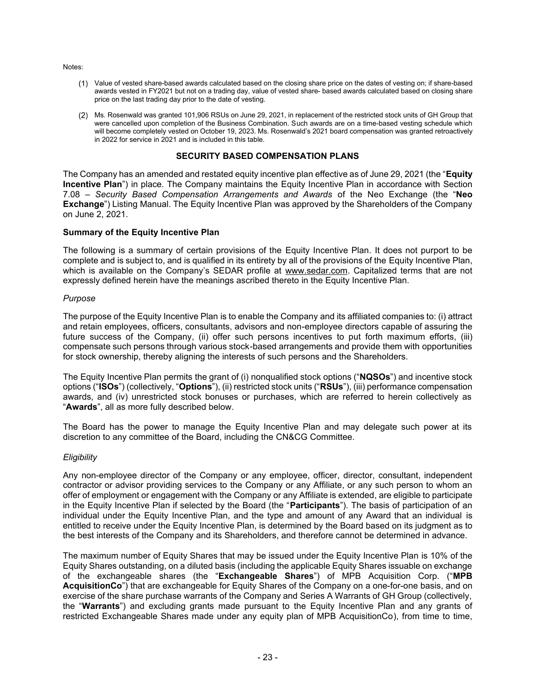Notes:

- Value of vested share-based awards calculated based on the closing share price on the dates of vesting on; if share-based awards vested in FY2021 but not on a trading day, value of vested share- based awards calculated based on closing share price on the last trading day prior to the date of vesting.
- Ms. Rosenwald was granted 101,906 RSUs on June 29, 2021, in replacement of the restricted stock units of GH Group that were cancelled upon completion of the Business Combination. Such awards are on a time-based vesting schedule which will become completely vested on October 19, 2023. Ms. Rosenwald's 2021 board compensation was granted retroactively in 2022 for service in 2021 and is included in this table.

# **SECURITY BASED COMPENSATION PLANS**

The Company has an amended and restated equity incentive plan effective as of June 29, 2021 (the "**Equity Incentive Plan**") in place. The Company maintains the Equity Incentive Plan in accordance with Section 7.08 – *Security Based Compensation Arrangements and Awards* of the Neo Exchange (the "**Neo Exchange**") Listing Manual. The Equity Incentive Plan was approved by the Shareholders of the Company on June 2, 2021.

#### **Summary of the Equity Incentive Plan**

The following is a summary of certain provisions of the Equity Incentive Plan. It does not purport to be complete and is subject to, and is qualified in its entirety by all of the provisions of the Equity Incentive Plan, which is available on the Company's SEDAR profile at www.sedar.com. Capitalized terms that are not expressly defined herein have the meanings ascribed thereto in the Equity Incentive Plan.

#### *Purpose*

The purpose of the Equity Incentive Plan is to enable the Company and its affiliated companies to: (i) attract and retain employees, officers, consultants, advisors and non-employee directors capable of assuring the future success of the Company, (ii) offer such persons incentives to put forth maximum efforts, (iii) compensate such persons through various stock-based arrangements and provide them with opportunities for stock ownership, thereby aligning the interests of such persons and the Shareholders.

The Equity Incentive Plan permits the grant of (i) nonqualified stock options ("**NQSOs**") and incentive stock options ("**ISOs**") (collectively, "**Options**"), (ii) restricted stock units ("**RSUs**"), (iii) performance compensation awards, and (iv) unrestricted stock bonuses or purchases, which are referred to herein collectively as "**Awards**", all as more fully described below.

The Board has the power to manage the Equity Incentive Plan and may delegate such power at its discretion to any committee of the Board, including the CN&CG Committee.

#### *Eligibility*

Any non-employee director of the Company or any employee, officer, director, consultant, independent contractor or advisor providing services to the Company or any Affiliate, or any such person to whom an offer of employment or engagement with the Company or any Affiliate is extended, are eligible to participate in the Equity Incentive Plan if selected by the Board (the "**Participants**"). The basis of participation of an individual under the Equity Incentive Plan, and the type and amount of any Award that an individual is entitled to receive under the Equity Incentive Plan, is determined by the Board based on its judgment as to the best interests of the Company and its Shareholders, and therefore cannot be determined in advance.

The maximum number of Equity Shares that may be issued under the Equity Incentive Plan is 10% of the Equity Shares outstanding, on a diluted basis (including the applicable Equity Shares issuable on exchange of the exchangeable shares (the "**Exchangeable Shares**") of MPB Acquisition Corp. ("**MPB AcquisitionCo**") that are exchangeable for Equity Shares of the Company on a one-for-one basis, and on exercise of the share purchase warrants of the Company and Series A Warrants of GH Group (collectively, the "**Warrants**") and excluding grants made pursuant to the Equity Incentive Plan and any grants of restricted Exchangeable Shares made under any equity plan of MPB AcquisitionCo), from time to time,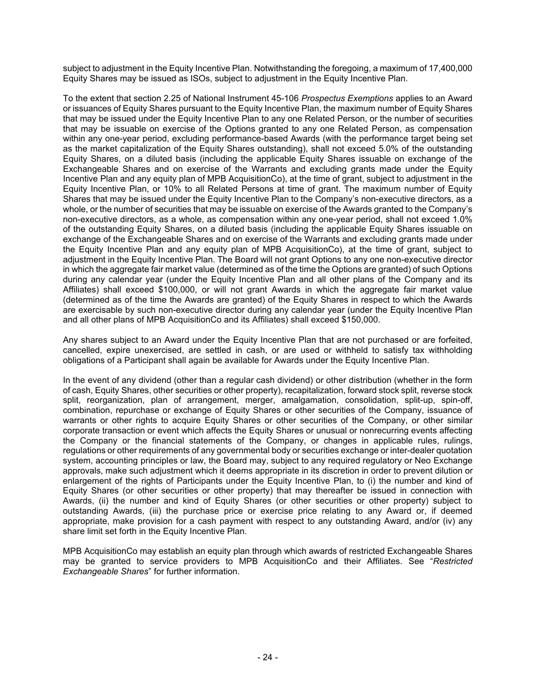subject to adjustment in the Equity Incentive Plan. Notwithstanding the foregoing, a maximum of 17,400,000 Equity Shares may be issued as ISOs, subject to adjustment in the Equity Incentive Plan.

To the extent that section 2.25 of National Instrument 45-106 *Prospectus Exemptions* applies to an Award or issuances of Equity Shares pursuant to the Equity Incentive Plan, the maximum number of Equity Shares that may be issued under the Equity Incentive Plan to any one Related Person, or the number of securities that may be issuable on exercise of the Options granted to any one Related Person, as compensation within any one-year period, excluding performance-based Awards (with the performance target being set as the market capitalization of the Equity Shares outstanding), shall not exceed 5.0% of the outstanding Equity Shares, on a diluted basis (including the applicable Equity Shares issuable on exchange of the Exchangeable Shares and on exercise of the Warrants and excluding grants made under the Equity Incentive Plan and any equity plan of MPB AcquisitionCo), at the time of grant, subject to adjustment in the Equity Incentive Plan, or 10% to all Related Persons at time of grant. The maximum number of Equity Shares that may be issued under the Equity Incentive Plan to the Company's non-executive directors, as a whole, or the number of securities that may be issuable on exercise of the Awards granted to the Company's non-executive directors, as a whole, as compensation within any one-year period, shall not exceed 1.0% of the outstanding Equity Shares, on a diluted basis (including the applicable Equity Shares issuable on exchange of the Exchangeable Shares and on exercise of the Warrants and excluding grants made under the Equity Incentive Plan and any equity plan of MPB AcquisitionCo), at the time of grant, subject to adjustment in the Equity Incentive Plan. The Board will not grant Options to any one non-executive director in which the aggregate fair market value (determined as of the time the Options are granted) of such Options during any calendar year (under the Equity Incentive Plan and all other plans of the Company and its Affiliates) shall exceed \$100,000, or will not grant Awards in which the aggregate fair market value (determined as of the time the Awards are granted) of the Equity Shares in respect to which the Awards are exercisable by such non-executive director during any calendar year (under the Equity Incentive Plan and all other plans of MPB AcquisitionCo and its Affiliates) shall exceed \$150,000.

Any shares subject to an Award under the Equity Incentive Plan that are not purchased or are forfeited, cancelled, expire unexercised, are settled in cash, or are used or withheld to satisfy tax withholding obligations of a Participant shall again be available for Awards under the Equity Incentive Plan.

In the event of any dividend (other than a regular cash dividend) or other distribution (whether in the form of cash, Equity Shares, other securities or other property), recapitalization, forward stock split, reverse stock split, reorganization, plan of arrangement, merger, amalgamation, consolidation, split-up, spin-off, combination, repurchase or exchange of Equity Shares or other securities of the Company, issuance of warrants or other rights to acquire Equity Shares or other securities of the Company, or other similar corporate transaction or event which affects the Equity Shares or unusual or nonrecurring events affecting the Company or the financial statements of the Company, or changes in applicable rules, rulings, regulations or other requirements of any governmental body or securities exchange or inter-dealer quotation system, accounting principles or law, the Board may, subject to any required regulatory or Neo Exchange approvals, make such adjustment which it deems appropriate in its discretion in order to prevent dilution or enlargement of the rights of Participants under the Equity Incentive Plan, to (i) the number and kind of Equity Shares (or other securities or other property) that may thereafter be issued in connection with Awards, (ii) the number and kind of Equity Shares (or other securities or other property) subject to outstanding Awards, (iii) the purchase price or exercise price relating to any Award or, if deemed appropriate, make provision for a cash payment with respect to any outstanding Award, and/or (iv) any share limit set forth in the Equity Incentive Plan.

MPB AcquisitionCo may establish an equity plan through which awards of restricted Exchangeable Shares may be granted to service providers to MPB AcquisitionCo and their Affiliates. See "*Restricted Exchangeable Shares*" for further information.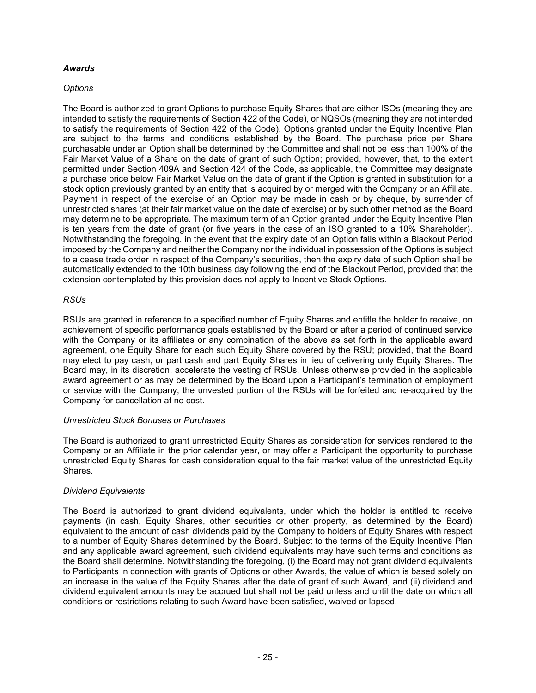## *Awards*

## *Options*

The Board is authorized to grant Options to purchase Equity Shares that are either ISOs (meaning they are intended to satisfy the requirements of Section 422 of the Code), or NQSOs (meaning they are not intended to satisfy the requirements of Section 422 of the Code). Options granted under the Equity Incentive Plan are subject to the terms and conditions established by the Board. The purchase price per Share purchasable under an Option shall be determined by the Committee and shall not be less than 100% of the Fair Market Value of a Share on the date of grant of such Option; provided, however, that, to the extent permitted under Section 409A and Section 424 of the Code, as applicable, the Committee may designate a purchase price below Fair Market Value on the date of grant if the Option is granted in substitution for a stock option previously granted by an entity that is acquired by or merged with the Company or an Affiliate. Payment in respect of the exercise of an Option may be made in cash or by cheque, by surrender of unrestricted shares (at their fair market value on the date of exercise) or by such other method as the Board may determine to be appropriate. The maximum term of an Option granted under the Equity Incentive Plan is ten years from the date of grant (or five years in the case of an ISO granted to a 10% Shareholder). Notwithstanding the foregoing, in the event that the expiry date of an Option falls within a Blackout Period imposed by the Company and neither the Company nor the individual in possession of the Options is subject to a cease trade order in respect of the Company's securities, then the expiry date of such Option shall be automatically extended to the 10th business day following the end of the Blackout Period, provided that the extension contemplated by this provision does not apply to Incentive Stock Options.

## *RSUs*

RSUs are granted in reference to a specified number of Equity Shares and entitle the holder to receive, on achievement of specific performance goals established by the Board or after a period of continued service with the Company or its affiliates or any combination of the above as set forth in the applicable award agreement, one Equity Share for each such Equity Share covered by the RSU; provided, that the Board may elect to pay cash, or part cash and part Equity Shares in lieu of delivering only Equity Shares. The Board may, in its discretion, accelerate the vesting of RSUs. Unless otherwise provided in the applicable award agreement or as may be determined by the Board upon a Participant's termination of employment or service with the Company, the unvested portion of the RSUs will be forfeited and re-acquired by the Company for cancellation at no cost.

#### *Unrestricted Stock Bonuses or Purchases*

The Board is authorized to grant unrestricted Equity Shares as consideration for services rendered to the Company or an Affiliate in the prior calendar year, or may offer a Participant the opportunity to purchase unrestricted Equity Shares for cash consideration equal to the fair market value of the unrestricted Equity Shares.

## *Dividend Equivalents*

The Board is authorized to grant dividend equivalents, under which the holder is entitled to receive payments (in cash, Equity Shares, other securities or other property, as determined by the Board) equivalent to the amount of cash dividends paid by the Company to holders of Equity Shares with respect to a number of Equity Shares determined by the Board. Subject to the terms of the Equity Incentive Plan and any applicable award agreement, such dividend equivalents may have such terms and conditions as the Board shall determine. Notwithstanding the foregoing, (i) the Board may not grant dividend equivalents to Participants in connection with grants of Options or other Awards, the value of which is based solely on an increase in the value of the Equity Shares after the date of grant of such Award, and (ii) dividend and dividend equivalent amounts may be accrued but shall not be paid unless and until the date on which all conditions or restrictions relating to such Award have been satisfied, waived or lapsed.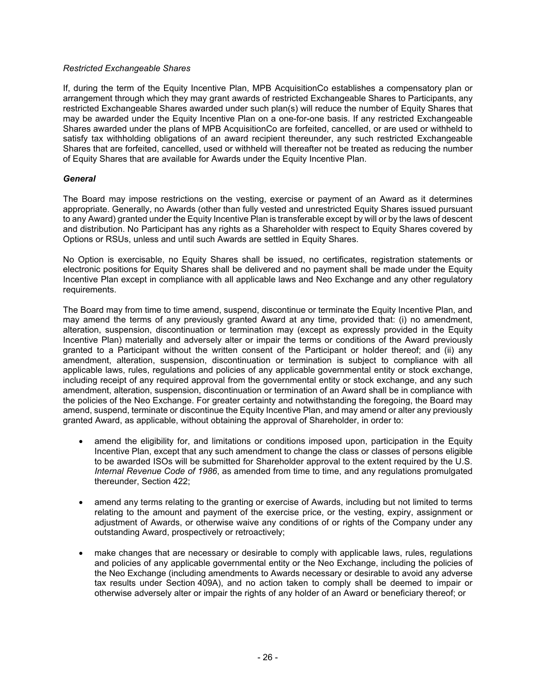#### *Restricted Exchangeable Shares*

If, during the term of the Equity Incentive Plan, MPB AcquisitionCo establishes a compensatory plan or arrangement through which they may grant awards of restricted Exchangeable Shares to Participants, any restricted Exchangeable Shares awarded under such plan(s) will reduce the number of Equity Shares that may be awarded under the Equity Incentive Plan on a one-for-one basis. If any restricted Exchangeable Shares awarded under the plans of MPB AcquisitionCo are forfeited, cancelled, or are used or withheld to satisfy tax withholding obligations of an award recipient thereunder, any such restricted Exchangeable Shares that are forfeited, cancelled, used or withheld will thereafter not be treated as reducing the number of Equity Shares that are available for Awards under the Equity Incentive Plan.

### *General*

The Board may impose restrictions on the vesting, exercise or payment of an Award as it determines appropriate. Generally, no Awards (other than fully vested and unrestricted Equity Shares issued pursuant to any Award) granted under the Equity Incentive Plan is transferable except by will or by the laws of descent and distribution. No Participant has any rights as a Shareholder with respect to Equity Shares covered by Options or RSUs, unless and until such Awards are settled in Equity Shares.

No Option is exercisable, no Equity Shares shall be issued, no certificates, registration statements or electronic positions for Equity Shares shall be delivered and no payment shall be made under the Equity Incentive Plan except in compliance with all applicable laws and Neo Exchange and any other regulatory requirements.

The Board may from time to time amend, suspend, discontinue or terminate the Equity Incentive Plan, and may amend the terms of any previously granted Award at any time, provided that: (i) no amendment, alteration, suspension, discontinuation or termination may (except as expressly provided in the Equity Incentive Plan) materially and adversely alter or impair the terms or conditions of the Award previously granted to a Participant without the written consent of the Participant or holder thereof; and (ii) any amendment, alteration, suspension, discontinuation or termination is subject to compliance with all applicable laws, rules, regulations and policies of any applicable governmental entity or stock exchange, including receipt of any required approval from the governmental entity or stock exchange, and any such amendment, alteration, suspension, discontinuation or termination of an Award shall be in compliance with the policies of the Neo Exchange. For greater certainty and notwithstanding the foregoing, the Board may amend, suspend, terminate or discontinue the Equity Incentive Plan, and may amend or alter any previously granted Award, as applicable, without obtaining the approval of Shareholder, in order to:

- amend the eligibility for, and limitations or conditions imposed upon, participation in the Equity Incentive Plan, except that any such amendment to change the class or classes of persons eligible to be awarded ISOs will be submitted for Shareholder approval to the extent required by the U.S. *Internal Revenue Code of 1986*, as amended from time to time, and any regulations promulgated thereunder, Section 422;
- amend any terms relating to the granting or exercise of Awards, including but not limited to terms relating to the amount and payment of the exercise price, or the vesting, expiry, assignment or adjustment of Awards, or otherwise waive any conditions of or rights of the Company under any outstanding Award, prospectively or retroactively;
- make changes that are necessary or desirable to comply with applicable laws, rules, regulations and policies of any applicable governmental entity or the Neo Exchange, including the policies of the Neo Exchange (including amendments to Awards necessary or desirable to avoid any adverse tax results under Section 409A), and no action taken to comply shall be deemed to impair or otherwise adversely alter or impair the rights of any holder of an Award or beneficiary thereof; or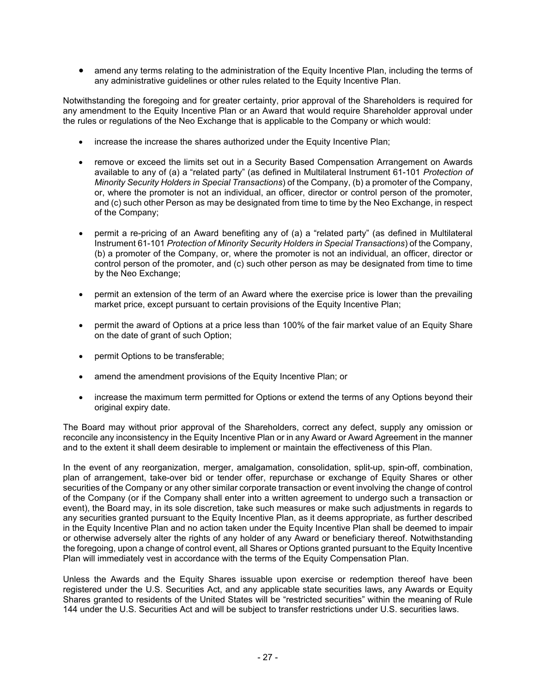• amend any terms relating to the administration of the Equity Incentive Plan, including the terms of any administrative guidelines or other rules related to the Equity Incentive Plan.

Notwithstanding the foregoing and for greater certainty, prior approval of the Shareholders is required for any amendment to the Equity Incentive Plan or an Award that would require Shareholder approval under the rules or regulations of the Neo Exchange that is applicable to the Company or which would:

- increase the increase the shares authorized under the Equity Incentive Plan;
- remove or exceed the limits set out in a Security Based Compensation Arrangement on Awards available to any of (a) a "related party" (as defined in Multilateral Instrument 61-101 *Protection of Minority Security Holders in Special Transactions*) of the Company, (b) a promoter of the Company, or, where the promoter is not an individual, an officer, director or control person of the promoter, and (c) such other Person as may be designated from time to time by the Neo Exchange, in respect of the Company;
- permit a re-pricing of an Award benefiting any of (a) a "related party" (as defined in Multilateral Instrument 61-101 *Protection of Minority Security Holders in Special Transactions*) of the Company, (b) a promoter of the Company, or, where the promoter is not an individual, an officer, director or control person of the promoter, and (c) such other person as may be designated from time to time by the Neo Exchange;
- permit an extension of the term of an Award where the exercise price is lower than the prevailing market price, except pursuant to certain provisions of the Equity Incentive Plan;
- permit the award of Options at a price less than 100% of the fair market value of an Equity Share on the date of grant of such Option;
- permit Options to be transferable;
- amend the amendment provisions of the Equity Incentive Plan; or
- increase the maximum term permitted for Options or extend the terms of any Options beyond their original expiry date.

The Board may without prior approval of the Shareholders, correct any defect, supply any omission or reconcile any inconsistency in the Equity Incentive Plan or in any Award or Award Agreement in the manner and to the extent it shall deem desirable to implement or maintain the effectiveness of this Plan.

In the event of any reorganization, merger, amalgamation, consolidation, split-up, spin-off, combination, plan of arrangement, take-over bid or tender offer, repurchase or exchange of Equity Shares or other securities of the Company or any other similar corporate transaction or event involving the change of control of the Company (or if the Company shall enter into a written agreement to undergo such a transaction or event), the Board may, in its sole discretion, take such measures or make such adjustments in regards to any securities granted pursuant to the Equity Incentive Plan, as it deems appropriate, as further described in the Equity Incentive Plan and no action taken under the Equity Incentive Plan shall be deemed to impair or otherwise adversely alter the rights of any holder of any Award or beneficiary thereof. Notwithstanding the foregoing, upon a change of control event, all Shares or Options granted pursuant to the Equity Incentive Plan will immediately vest in accordance with the terms of the Equity Compensation Plan.

Unless the Awards and the Equity Shares issuable upon exercise or redemption thereof have been registered under the U.S. Securities Act, and any applicable state securities laws, any Awards or Equity Shares granted to residents of the United States will be "restricted securities" within the meaning of Rule 144 under the U.S. Securities Act and will be subject to transfer restrictions under U.S. securities laws.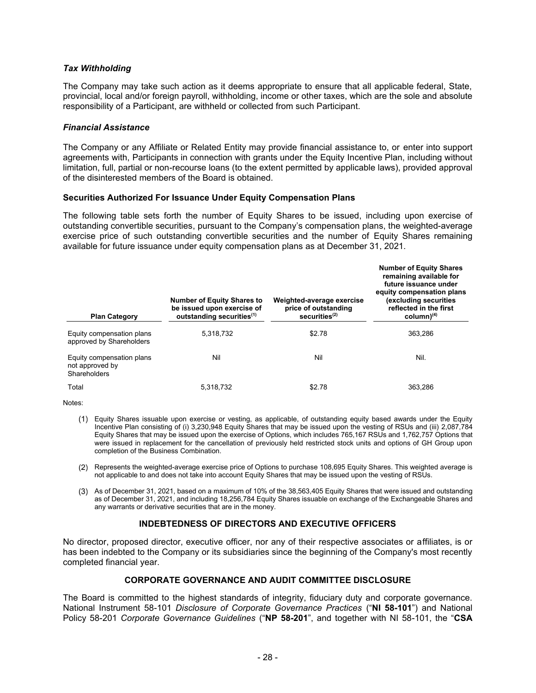### *Tax Withholding*

The Company may take such action as it deems appropriate to ensure that all applicable federal, State, provincial, local and/or foreign payroll, withholding, income or other taxes, which are the sole and absolute responsibility of a Participant, are withheld or collected from such Participant.

### *Financial Assistance*

The Company or any Affiliate or Related Entity may provide financial assistance to, or enter into support agreements with, Participants in connection with grants under the Equity Incentive Plan, including without limitation, full, partial or non-recourse loans (to the extent permitted by applicable laws), provided approval of the disinterested members of the Board is obtained.

## **Securities Authorized For Issuance Under Equity Compensation Plans**

The following table sets forth the number of Equity Shares to be issued, including upon exercise of outstanding convertible securities, pursuant to the Company's compensation plans, the weighted-average exercise price of such outstanding convertible securities and the number of Equity Shares remaining available for future issuance under equity compensation plans as at December 31, 2021.

| <b>Plan Category</b>                                         | <b>Number of Equity Shares to</b><br>be issued upon exercise of<br>outstanding securities <sup>(1)</sup> | Weighted-average exercise<br>price of outstanding<br>securities $(2)$ | <b>Number of Equity Shares</b><br>remaining available for<br>future issuance under<br>equity compensation plans<br>(excluding securities<br>reflected in the first<br>column(4) |
|--------------------------------------------------------------|----------------------------------------------------------------------------------------------------------|-----------------------------------------------------------------------|---------------------------------------------------------------------------------------------------------------------------------------------------------------------------------|
| Equity compensation plans<br>approved by Shareholders        | 5.318.732                                                                                                | \$2.78                                                                | 363.286                                                                                                                                                                         |
| Equity compensation plans<br>not approved by<br>Shareholders | Nil                                                                                                      | Nil                                                                   | Nil.                                                                                                                                                                            |
| Total                                                        | 5,318,732                                                                                                | \$2.78                                                                | 363.286                                                                                                                                                                         |

Notes:

- Equity Shares issuable upon exercise or vesting, as applicable, of outstanding equity based awards under the Equity Incentive Plan consisting of (i) 3,230,948 Equity Shares that may be issued upon the vesting of RSUs and (iii) 2,087,784 Equity Shares that may be issued upon the exercise of Options, which includes 765,167 RSUs and 1,762,757 Options that were issued in replacement for the cancellation of previously held restricted stock units and options of GH Group upon completion of the Business Combination.
- (2) Represents the weighted-average exercise price of Options to purchase 108,695 Equity Shares. This weighted average is not applicable to and does not take into account Equity Shares that may be issued upon the vesting of RSUs.
- As of December 31, 2021, based on a maximum of 10% of the 38,563,405 Equity Shares that were issued and outstanding as of December 31, 2021, and including 18,256,784 Equity Shares issuable on exchange of the Exchangeable Shares and any warrants or derivative securities that are in the money.

## **INDEBTEDNESS OF DIRECTORS AND EXECUTIVE OFFICERS**

No director, proposed director, executive officer, nor any of their respective associates or affiliates, is or has been indebted to the Company or its subsidiaries since the beginning of the Company's most recently completed financial year.

## **CORPORATE GOVERNANCE AND AUDIT COMMITTEE DISCLOSURE**

The Board is committed to the highest standards of integrity, fiduciary duty and corporate governance. National Instrument 58-101 *Disclosure of Corporate Governance Practices* ("**NI 58-101**") and National Policy 58-201 *Corporate Governance Guidelines* ("**NP 58-201**", and together with NI 58-101, the "**CSA**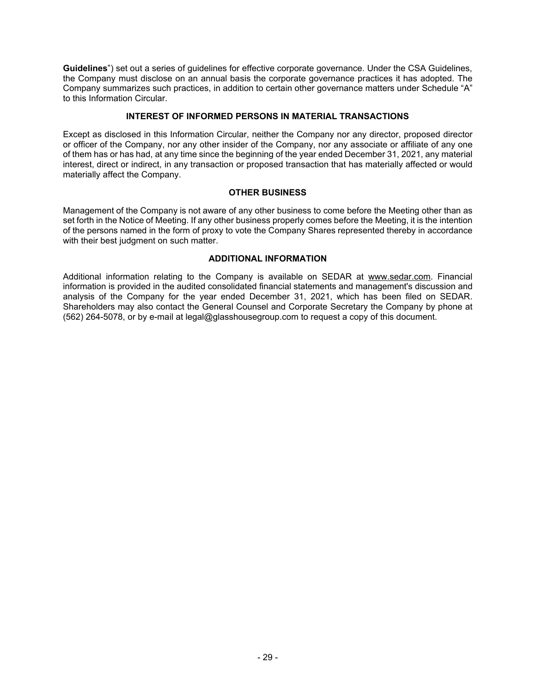**Guidelines**") set out a series of guidelines for effective corporate governance. Under the CSA Guidelines, the Company must disclose on an annual basis the corporate governance practices it has adopted. The Company summarizes such practices, in addition to certain other governance matters under Schedule "A" to this Information Circular.

## **INTEREST OF INFORMED PERSONS IN MATERIAL TRANSACTIONS**

Except as disclosed in this Information Circular, neither the Company nor any director, proposed director or officer of the Company, nor any other insider of the Company, nor any associate or affiliate of any one of them has or has had, at any time since the beginning of the year ended December 31, 2021, any material interest, direct or indirect, in any transaction or proposed transaction that has materially affected or would materially affect the Company.

## **OTHER BUSINESS**

Management of the Company is not aware of any other business to come before the Meeting other than as set forth in the Notice of Meeting. If any other business properly comes before the Meeting, it is the intention of the persons named in the form of proxy to vote the Company Shares represented thereby in accordance with their best judgment on such matter.

## **ADDITIONAL INFORMATION**

Additional information relating to the Company is available on SEDAR at www.sedar.com. Financial information is provided in the audited consolidated financial statements and management's discussion and analysis of the Company for the year ended December 31, 2021, which has been filed on SEDAR. Shareholders may also contact the General Counsel and Corporate Secretary the Company by phone at (562) 264-5078, or by e-mail at legal@glasshousegroup.com to request a copy of this document.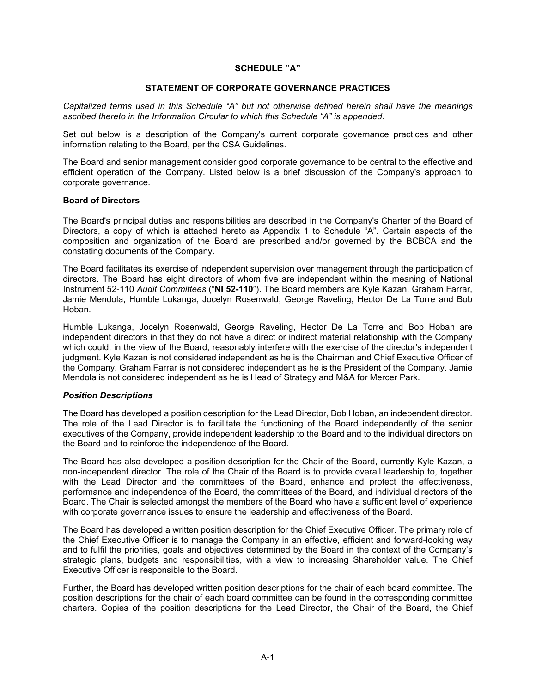#### **SCHEDULE "A"**

#### **STATEMENT OF CORPORATE GOVERNANCE PRACTICES**

*Capitalized terms used in this Schedule "A" but not otherwise defined herein shall have the meanings ascribed thereto in the Information Circular to which this Schedule "A" is appended.*

Set out below is a description of the Company's current corporate governance practices and other information relating to the Board, per the CSA Guidelines.

The Board and senior management consider good corporate governance to be central to the effective and efficient operation of the Company. Listed below is a brief discussion of the Company's approach to corporate governance.

#### **Board of Directors**

The Board's principal duties and responsibilities are described in the Company's Charter of the Board of Directors, a copy of which is attached hereto as Appendix 1 to Schedule "A". Certain aspects of the composition and organization of the Board are prescribed and/or governed by the BCBCA and the constating documents of the Company.

The Board facilitates its exercise of independent supervision over management through the participation of directors. The Board has eight directors of whom five are independent within the meaning of National Instrument 52-110 *Audit Committees* ("**NI 52-110**"). The Board members are Kyle Kazan, Graham Farrar, Jamie Mendola, Humble Lukanga, Jocelyn Rosenwald, George Raveling, Hector De La Torre and Bob Hoban.

Humble Lukanga, Jocelyn Rosenwald, George Raveling, Hector De La Torre and Bob Hoban are independent directors in that they do not have a direct or indirect material relationship with the Company which could, in the view of the Board, reasonably interfere with the exercise of the director's independent judgment. Kyle Kazan is not considered independent as he is the Chairman and Chief Executive Officer of the Company. Graham Farrar is not considered independent as he is the President of the Company. Jamie Mendola is not considered independent as he is Head of Strategy and M&A for Mercer Park.

#### *Position Descriptions*

The Board has developed a position description for the Lead Director, Bob Hoban, an independent director. The role of the Lead Director is to facilitate the functioning of the Board independently of the senior executives of the Company, provide independent leadership to the Board and to the individual directors on the Board and to reinforce the independence of the Board.

The Board has also developed a position description for the Chair of the Board, currently Kyle Kazan, a non-independent director. The role of the Chair of the Board is to provide overall leadership to, together with the Lead Director and the committees of the Board, enhance and protect the effectiveness, performance and independence of the Board, the committees of the Board, and individual directors of the Board. The Chair is selected amongst the members of the Board who have a sufficient level of experience with corporate governance issues to ensure the leadership and effectiveness of the Board.

The Board has developed a written position description for the Chief Executive Officer. The primary role of the Chief Executive Officer is to manage the Company in an effective, efficient and forward-looking way and to fulfil the priorities, goals and objectives determined by the Board in the context of the Company's strategic plans, budgets and responsibilities, with a view to increasing Shareholder value. The Chief Executive Officer is responsible to the Board.

Further, the Board has developed written position descriptions for the chair of each board committee. The position descriptions for the chair of each board committee can be found in the corresponding committee charters. Copies of the position descriptions for the Lead Director, the Chair of the Board, the Chief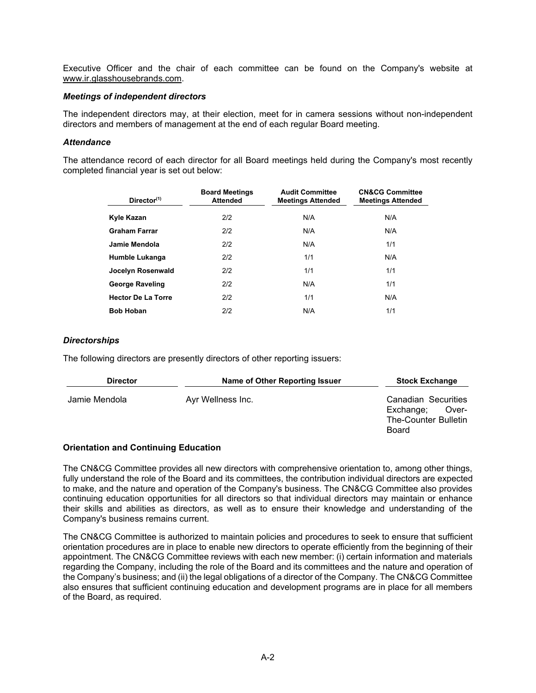Executive Officer and the chair of each committee can be found on the Company's website at www.ir.glasshousebrands.com.

### *Meetings of independent directors*

The independent directors may, at their election, meet for in camera sessions without non-independent directors and members of management at the end of each regular Board meeting.

#### *Attendance*

The attendance record of each director for all Board meetings held during the Company's most recently completed financial year is set out below:

| Director <sup>(1)</sup>   | <b>Board Meetings</b><br><b>Attended</b> | <b>Audit Committee</b><br><b>Meetings Attended</b> | <b>CN&amp;CG Committee</b><br><b>Meetings Attended</b> |
|---------------------------|------------------------------------------|----------------------------------------------------|--------------------------------------------------------|
| Kyle Kazan                | 2/2                                      | N/A                                                | N/A                                                    |
| <b>Graham Farrar</b>      | 2/2                                      | N/A                                                | N/A                                                    |
| Jamie Mendola             | 2/2                                      | N/A                                                | 1/1                                                    |
| Humble Lukanga            | 2/2                                      | 1/1                                                | N/A                                                    |
| Jocelyn Rosenwald         | 2/2                                      | 1/1                                                | 1/1                                                    |
| <b>George Raveling</b>    | 2/2                                      | N/A                                                | 1/1                                                    |
| <b>Hector De La Torre</b> | 2/2                                      | 1/1                                                | N/A                                                    |
| <b>Bob Hoban</b>          | 2/2                                      | N/A                                                | 1/1                                                    |

#### *Directorships*

The following directors are presently directors of other reporting issuers:

| <b>Director</b> | Name of Other Reporting Issuer | <b>Stock Exchange</b>                                                             |
|-----------------|--------------------------------|-----------------------------------------------------------------------------------|
| Jamie Mendola   | Ayr Wellness Inc.              | Canadian Securities<br>Exchange;<br>Over-<br><b>The-Counter Bulletin</b><br>Board |

#### **Orientation and Continuing Education**

The CN&CG Committee provides all new directors with comprehensive orientation to, among other things, fully understand the role of the Board and its committees, the contribution individual directors are expected to make, and the nature and operation of the Company's business. The CN&CG Committee also provides continuing education opportunities for all directors so that individual directors may maintain or enhance their skills and abilities as directors, as well as to ensure their knowledge and understanding of the Company's business remains current.

The CN&CG Committee is authorized to maintain policies and procedures to seek to ensure that sufficient orientation procedures are in place to enable new directors to operate efficiently from the beginning of their appointment. The CN&CG Committee reviews with each new member: (i) certain information and materials regarding the Company, including the role of the Board and its committees and the nature and operation of the Company's business; and (ii) the legal obligations of a director of the Company. The CN&CG Committee also ensures that sufficient continuing education and development programs are in place for all members of the Board, as required.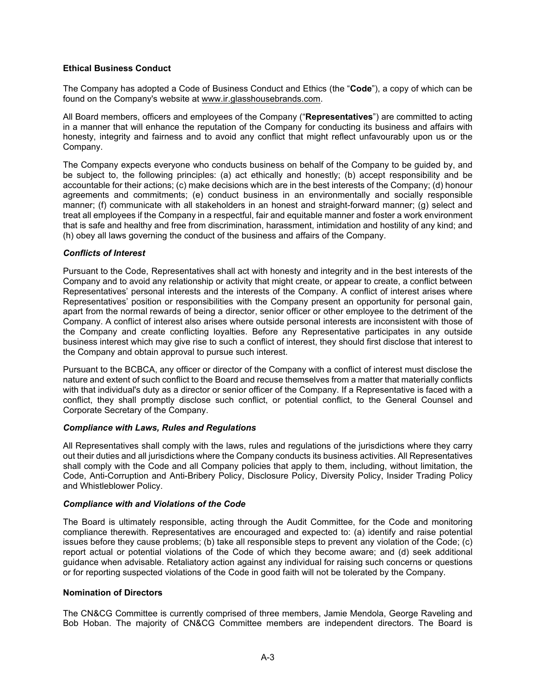## **Ethical Business Conduct**

The Company has adopted a Code of Business Conduct and Ethics (the "**Code**"), a copy of which can be found on the Company's website at www.ir.glasshousebrands.com.

All Board members, officers and employees of the Company ("**Representatives**") are committed to acting in a manner that will enhance the reputation of the Company for conducting its business and affairs with honesty, integrity and fairness and to avoid any conflict that might reflect unfavourably upon us or the Company.

The Company expects everyone who conducts business on behalf of the Company to be guided by, and be subject to, the following principles: (a) act ethically and honestly; (b) accept responsibility and be accountable for their actions; (c) make decisions which are in the best interests of the Company; (d) honour agreements and commitments; (e) conduct business in an environmentally and socially responsible manner; (f) communicate with all stakeholders in an honest and straight-forward manner; (g) select and treat all employees if the Company in a respectful, fair and equitable manner and foster a work environment that is safe and healthy and free from discrimination, harassment, intimidation and hostility of any kind; and (h) obey all laws governing the conduct of the business and affairs of the Company.

## *Conflicts of Interest*

Pursuant to the Code, Representatives shall act with honesty and integrity and in the best interests of the Company and to avoid any relationship or activity that might create, or appear to create, a conflict between Representatives' personal interests and the interests of the Company. A conflict of interest arises where Representatives' position or responsibilities with the Company present an opportunity for personal gain, apart from the normal rewards of being a director, senior officer or other employee to the detriment of the Company. A conflict of interest also arises where outside personal interests are inconsistent with those of the Company and create conflicting loyalties. Before any Representative participates in any outside business interest which may give rise to such a conflict of interest, they should first disclose that interest to the Company and obtain approval to pursue such interest.

Pursuant to the BCBCA, any officer or director of the Company with a conflict of interest must disclose the nature and extent of such conflict to the Board and recuse themselves from a matter that materially conflicts with that individual's duty as a director or senior officer of the Company. If a Representative is faced with a conflict, they shall promptly disclose such conflict, or potential conflict, to the General Counsel and Corporate Secretary of the Company.

## *Compliance with Laws, Rules and Regulations*

All Representatives shall comply with the laws, rules and regulations of the jurisdictions where they carry out their duties and all jurisdictions where the Company conducts its business activities. All Representatives shall comply with the Code and all Company policies that apply to them, including, without limitation, the Code, Anti-Corruption and Anti-Bribery Policy, Disclosure Policy, Diversity Policy, Insider Trading Policy and Whistleblower Policy.

#### *Compliance with and Violations of the Code*

The Board is ultimately responsible, acting through the Audit Committee, for the Code and monitoring compliance therewith. Representatives are encouraged and expected to: (a) identify and raise potential issues before they cause problems; (b) take all responsible steps to prevent any violation of the Code; (c) report actual or potential violations of the Code of which they become aware; and (d) seek additional guidance when advisable. Retaliatory action against any individual for raising such concerns or questions or for reporting suspected violations of the Code in good faith will not be tolerated by the Company.

## **Nomination of Directors**

The CN&CG Committee is currently comprised of three members, Jamie Mendola, George Raveling and Bob Hoban. The majority of CN&CG Committee members are independent directors. The Board is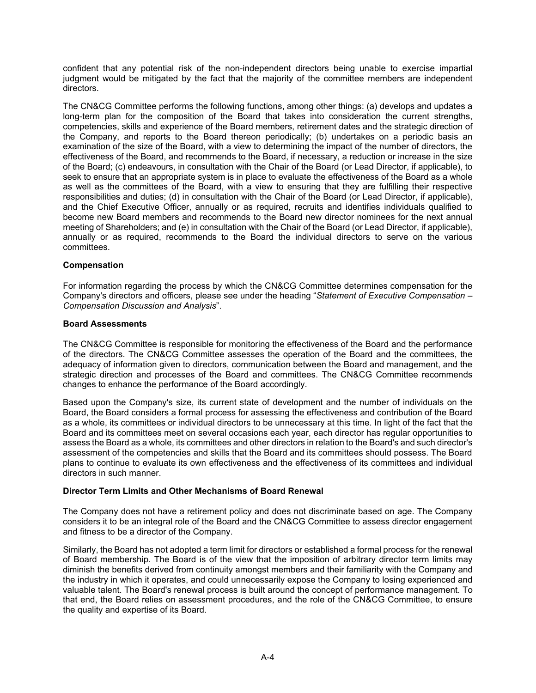confident that any potential risk of the non-independent directors being unable to exercise impartial judgment would be mitigated by the fact that the majority of the committee members are independent directors.

The CN&CG Committee performs the following functions, among other things: (a) develops and updates a long-term plan for the composition of the Board that takes into consideration the current strengths, competencies, skills and experience of the Board members, retirement dates and the strategic direction of the Company, and reports to the Board thereon periodically; (b) undertakes on a periodic basis an examination of the size of the Board, with a view to determining the impact of the number of directors, the effectiveness of the Board, and recommends to the Board, if necessary, a reduction or increase in the size of the Board; (c) endeavours, in consultation with the Chair of the Board (or Lead Director, if applicable), to seek to ensure that an appropriate system is in place to evaluate the effectiveness of the Board as a whole as well as the committees of the Board, with a view to ensuring that they are fulfilling their respective responsibilities and duties; (d) in consultation with the Chair of the Board (or Lead Director, if applicable), and the Chief Executive Officer, annually or as required, recruits and identifies individuals qualified to become new Board members and recommends to the Board new director nominees for the next annual meeting of Shareholders; and (e) in consultation with the Chair of the Board (or Lead Director, if applicable), annually or as required, recommends to the Board the individual directors to serve on the various committees.

## **Compensation**

For information regarding the process by which the CN&CG Committee determines compensation for the Company's directors and officers, please see under the heading "*Statement of Executive Compensation – Compensation Discussion and Analysis*".

#### **Board Assessments**

The CN&CG Committee is responsible for monitoring the effectiveness of the Board and the performance of the directors. The CN&CG Committee assesses the operation of the Board and the committees, the adequacy of information given to directors, communication between the Board and management, and the strategic direction and processes of the Board and committees. The CN&CG Committee recommends changes to enhance the performance of the Board accordingly.

Based upon the Company's size, its current state of development and the number of individuals on the Board, the Board considers a formal process for assessing the effectiveness and contribution of the Board as a whole, its committees or individual directors to be unnecessary at this time. In light of the fact that the Board and its committees meet on several occasions each year, each director has regular opportunities to assess the Board as a whole, its committees and other directors in relation to the Board's and such director's assessment of the competencies and skills that the Board and its committees should possess. The Board plans to continue to evaluate its own effectiveness and the effectiveness of its committees and individual directors in such manner.

## **Director Term Limits and Other Mechanisms of Board Renewal**

The Company does not have a retirement policy and does not discriminate based on age. The Company considers it to be an integral role of the Board and the CN&CG Committee to assess director engagement and fitness to be a director of the Company.

Similarly, the Board has not adopted a term limit for directors or established a formal process for the renewal of Board membership. The Board is of the view that the imposition of arbitrary director term limits may diminish the benefits derived from continuity amongst members and their familiarity with the Company and the industry in which it operates, and could unnecessarily expose the Company to losing experienced and valuable talent. The Board's renewal process is built around the concept of performance management. To that end, the Board relies on assessment procedures, and the role of the CN&CG Committee, to ensure the quality and expertise of its Board.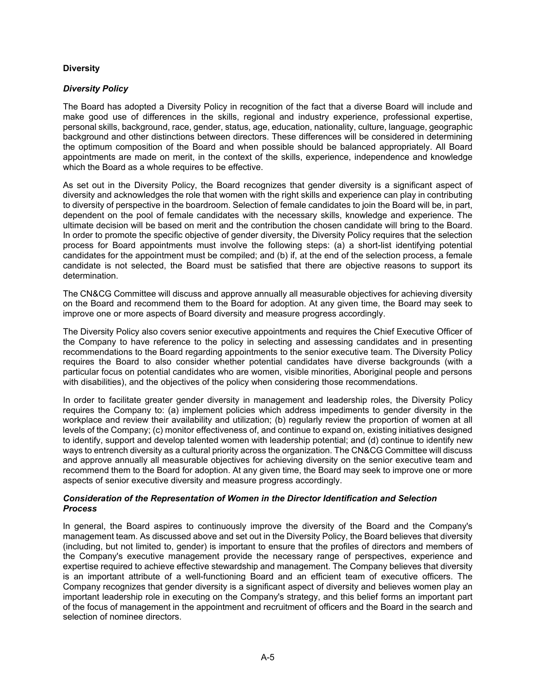## **Diversity**

## *Diversity Policy*

The Board has adopted a Diversity Policy in recognition of the fact that a diverse Board will include and make good use of differences in the skills, regional and industry experience, professional expertise, personal skills, background, race, gender, status, age, education, nationality, culture, language, geographic background and other distinctions between directors. These differences will be considered in determining the optimum composition of the Board and when possible should be balanced appropriately. All Board appointments are made on merit, in the context of the skills, experience, independence and knowledge which the Board as a whole requires to be effective.

As set out in the Diversity Policy, the Board recognizes that gender diversity is a significant aspect of diversity and acknowledges the role that women with the right skills and experience can play in contributing to diversity of perspective in the boardroom. Selection of female candidates to join the Board will be, in part, dependent on the pool of female candidates with the necessary skills, knowledge and experience. The ultimate decision will be based on merit and the contribution the chosen candidate will bring to the Board. In order to promote the specific objective of gender diversity, the Diversity Policy requires that the selection process for Board appointments must involve the following steps: (a) a short-list identifying potential candidates for the appointment must be compiled; and (b) if, at the end of the selection process, a female candidate is not selected, the Board must be satisfied that there are objective reasons to support its determination.

The CN&CG Committee will discuss and approve annually all measurable objectives for achieving diversity on the Board and recommend them to the Board for adoption. At any given time, the Board may seek to improve one or more aspects of Board diversity and measure progress accordingly.

The Diversity Policy also covers senior executive appointments and requires the Chief Executive Officer of the Company to have reference to the policy in selecting and assessing candidates and in presenting recommendations to the Board regarding appointments to the senior executive team. The Diversity Policy requires the Board to also consider whether potential candidates have diverse backgrounds (with a particular focus on potential candidates who are women, visible minorities, Aboriginal people and persons with disabilities), and the objectives of the policy when considering those recommendations.

In order to facilitate greater gender diversity in management and leadership roles, the Diversity Policy requires the Company to: (a) implement policies which address impediments to gender diversity in the workplace and review their availability and utilization; (b) regularly review the proportion of women at all levels of the Company; (c) monitor effectiveness of, and continue to expand on, existing initiatives designed to identify, support and develop talented women with leadership potential; and (d) continue to identify new ways to entrench diversity as a cultural priority across the organization. The CN&CG Committee will discuss and approve annually all measurable objectives for achieving diversity on the senior executive team and recommend them to the Board for adoption. At any given time, the Board may seek to improve one or more aspects of senior executive diversity and measure progress accordingly.

#### *Consideration of the Representation of Women in the Director Identification and Selection Process*

In general, the Board aspires to continuously improve the diversity of the Board and the Company's management team. As discussed above and set out in the Diversity Policy, the Board believes that diversity (including, but not limited to, gender) is important to ensure that the profiles of directors and members of the Company's executive management provide the necessary range of perspectives, experience and expertise required to achieve effective stewardship and management. The Company believes that diversity is an important attribute of a well-functioning Board and an efficient team of executive officers. The Company recognizes that gender diversity is a significant aspect of diversity and believes women play an important leadership role in executing on the Company's strategy, and this belief forms an important part of the focus of management in the appointment and recruitment of officers and the Board in the search and selection of nominee directors.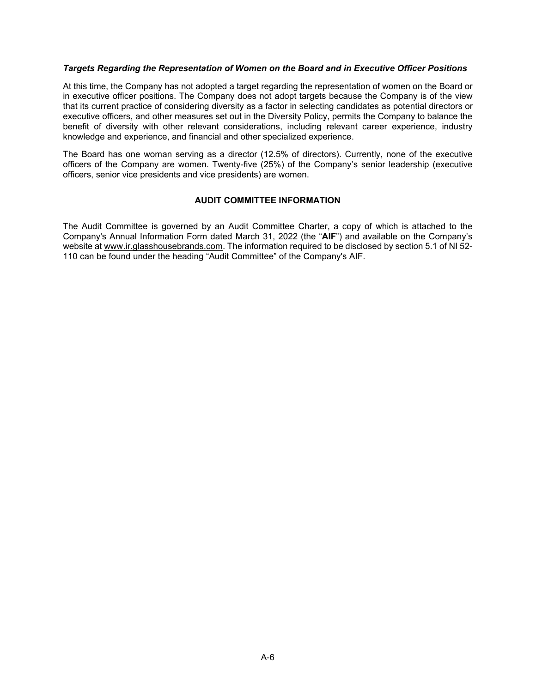#### *Targets Regarding the Representation of Women on the Board and in Executive Officer Positions*

At this time, the Company has not adopted a target regarding the representation of women on the Board or in executive officer positions. The Company does not adopt targets because the Company is of the view that its current practice of considering diversity as a factor in selecting candidates as potential directors or executive officers, and other measures set out in the Diversity Policy, permits the Company to balance the benefit of diversity with other relevant considerations, including relevant career experience, industry knowledge and experience, and financial and other specialized experience.

The Board has one woman serving as a director (12.5% of directors). Currently, none of the executive officers of the Company are women. Twenty-five (25%) of the Company's senior leadership (executive officers, senior vice presidents and vice presidents) are women.

## **AUDIT COMMITTEE INFORMATION**

The Audit Committee is governed by an Audit Committee Charter, a copy of which is attached to the Company's Annual Information Form dated March 31, 2022 (the "**AIF**") and available on the Company's website at www.ir.glasshousebrands.com. The information required to be disclosed by section 5.1 of NI 52- 110 can be found under the heading "Audit Committee" of the Company's AIF.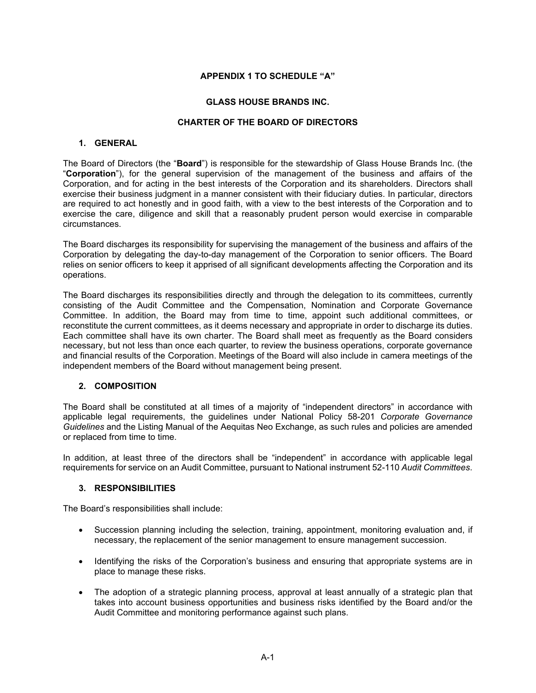## **APPENDIX 1 TO SCHEDULE "A"**

### **GLASS HOUSE BRANDS INC.**

## **CHARTER OF THE BOARD OF DIRECTORS**

## **1. GENERAL**

The Board of Directors (the "**Board**") is responsible for the stewardship of Glass House Brands Inc. (the "**Corporation**"), for the general supervision of the management of the business and affairs of the Corporation, and for acting in the best interests of the Corporation and its shareholders. Directors shall exercise their business judgment in a manner consistent with their fiduciary duties. In particular, directors are required to act honestly and in good faith, with a view to the best interests of the Corporation and to exercise the care, diligence and skill that a reasonably prudent person would exercise in comparable circumstances.

The Board discharges its responsibility for supervising the management of the business and affairs of the Corporation by delegating the day-to-day management of the Corporation to senior officers. The Board relies on senior officers to keep it apprised of all significant developments affecting the Corporation and its operations.

The Board discharges its responsibilities directly and through the delegation to its committees, currently consisting of the Audit Committee and the Compensation, Nomination and Corporate Governance Committee. In addition, the Board may from time to time, appoint such additional committees, or reconstitute the current committees, as it deems necessary and appropriate in order to discharge its duties. Each committee shall have its own charter. The Board shall meet as frequently as the Board considers necessary, but not less than once each quarter, to review the business operations, corporate governance and financial results of the Corporation. Meetings of the Board will also include in camera meetings of the independent members of the Board without management being present.

#### **2. COMPOSITION**

The Board shall be constituted at all times of a majority of "independent directors" in accordance with applicable legal requirements, the guidelines under National Policy 58-201 *Corporate Governance Guidelines* and the Listing Manual of the Aequitas Neo Exchange, as such rules and policies are amended or replaced from time to time.

In addition, at least three of the directors shall be "independent" in accordance with applicable legal requirements for service on an Audit Committee, pursuant to National instrument 52-110 *Audit Committees*.

#### **3. RESPONSIBILITIES**

The Board's responsibilities shall include:

- Succession planning including the selection, training, appointment, monitoring evaluation and, if necessary, the replacement of the senior management to ensure management succession.
- Identifying the risks of the Corporation's business and ensuring that appropriate systems are in place to manage these risks.
- The adoption of a strategic planning process, approval at least annually of a strategic plan that takes into account business opportunities and business risks identified by the Board and/or the Audit Committee and monitoring performance against such plans.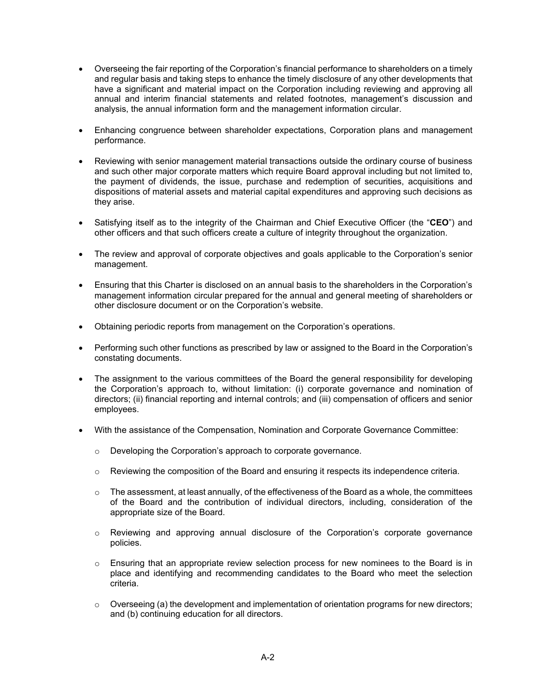- Overseeing the fair reporting of the Corporation's financial performance to shareholders on a timely and regular basis and taking steps to enhance the timely disclosure of any other developments that have a significant and material impact on the Corporation including reviewing and approving all annual and interim financial statements and related footnotes, management's discussion and analysis, the annual information form and the management information circular.
- Enhancing congruence between shareholder expectations, Corporation plans and management performance.
- Reviewing with senior management material transactions outside the ordinary course of business and such other major corporate matters which require Board approval including but not limited to, the payment of dividends, the issue, purchase and redemption of securities, acquisitions and dispositions of material assets and material capital expenditures and approving such decisions as they arise.
- Satisfying itself as to the integrity of the Chairman and Chief Executive Officer (the "**CEO**") and other officers and that such officers create a culture of integrity throughout the organization.
- The review and approval of corporate objectives and goals applicable to the Corporation's senior management.
- Ensuring that this Charter is disclosed on an annual basis to the shareholders in the Corporation's management information circular prepared for the annual and general meeting of shareholders or other disclosure document or on the Corporation's website.
- Obtaining periodic reports from management on the Corporation's operations.
- Performing such other functions as prescribed by law or assigned to the Board in the Corporation's constating documents.
- The assignment to the various committees of the Board the general responsibility for developing the Corporation's approach to, without limitation: (i) corporate governance and nomination of directors; (ii) financial reporting and internal controls; and (iii) compensation of officers and senior employees.
- With the assistance of the Compensation, Nomination and Corporate Governance Committee:
	- o Developing the Corporation's approach to corporate governance.
	- $\circ$  Reviewing the composition of the Board and ensuring it respects its independence criteria.
	- $\circ$  The assessment, at least annually, of the effectiveness of the Board as a whole, the committees of the Board and the contribution of individual directors, including, consideration of the appropriate size of the Board.
	- $\circ$  Reviewing and approving annual disclosure of the Corporation's corporate governance policies.
	- $\circ$  Ensuring that an appropriate review selection process for new nominees to the Board is in place and identifying and recommending candidates to the Board who meet the selection criteria.
	- $\circ$  Overseeing (a) the development and implementation of orientation programs for new directors; and (b) continuing education for all directors.